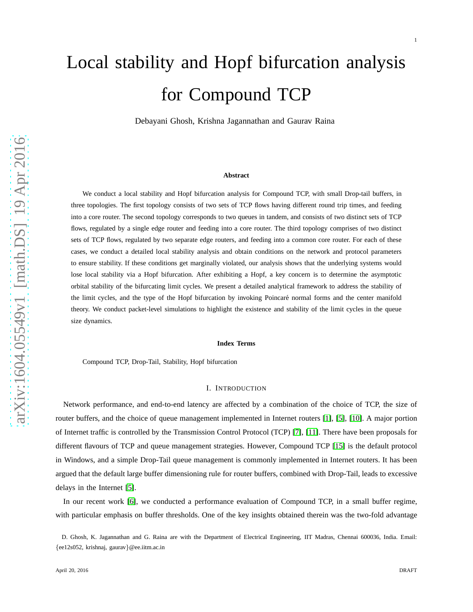Debayani Ghosh, Krishna Jagannathan and Gaurav Raina

#### **Abstract**

We conduct a local stability and Hopf bifurcation analysis for Compound TCP, with small Drop-tail buffers, in three topologies. The first topology consists of two sets of TCP flows having different round trip times, and feeding into a core router. The second topology corresponds to two queues in tandem, and consists of two distinct sets of TCP flows, regulated by a single edge router and feeding into a core router. The third topology comprises of two distinct sets of TCP flows, regulated by two separate edge routers, and feeding into a common core router. For each of these cases, we conduct a detailed local stability analysis and obtain conditions on the network and protocol parameters to ensure stability. If these conditions get marginally violated, our analysis shows that the underlying systems would lose local stability via a Hopf bifurcation. After exhibiting a Hopf, a key concern is to determine the asymptotic orbital stability of the bifurcating limit cycles. We present a detailed analytical framework to address the stability of the limit cycles, and the type of the Hopf bifurcation by invoking Poincaré normal forms and the center manifold theory. We conduct packet-level simulations to highlight the existence and stability of the limit cycles in the queue size dynamics.

#### **Index Terms**

Compound TCP, Drop-Tail, Stability, Hopf bifurcation

#### I. INTRODUCTION

Network performance, and end-to-end latency are affected by a combination of the choice of TCP, the size of router buffers, and the choice of queue management implemented in Internet routers [\[1\]](#page-22-0), [\[5\]](#page-22-1), [\[10\]](#page-22-2). A major portion of Internet traffic is controlled by the Transmission Control Protocol (TCP) [\[7\]](#page-22-3), [\[11\]](#page-22-4). There have been proposals for different flavours of TCP and queue management strategies. However, Compound TCP [\[15\]](#page-23-0) is the default protocol in Windows, and a simple Drop-Tail queue management is commonly implemented in Internet routers. It has been argued that the default large buffer dimensioning rule for router buffers, combined with Drop-Tail, leads to excessive delays in the Internet [\[5\]](#page-22-1).

In our recent work [\[6\]](#page-22-5), we conducted a performance evaluation of Compound TCP, in a small buffer regime, with particular emphasis on buffer thresholds. One of the key insights obtained therein was the two-fold advantage

D. Ghosh, K. Jagannathan and G. Raina are with the Department of Electrical Engineering, IIT Madras, Chennai 600036, India. Email: {ee12s052, krishnaj, gaurav}@ee.iitm.ac.in

1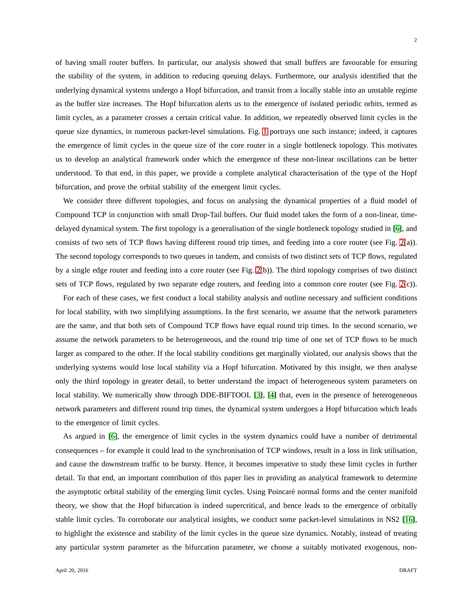of having small router buffers. In particular, our analysis showed that small buffers are favourable for ensuring the stability of the system, in addition to reducing queuing delays. Furthermore, our analysis identified that the underlying dynamical systems undergo a Hopf bifurcation, and transit from a locally stable into an unstable regime as the buffer size increases. The Hopf bifurcation alerts us to the emergence of isolated periodic orbits, termed as limit cycles, as a parameter crosses a certain critical value. In addition, we repeatedly observed limit cycles in the queue size dynamics, in numerous packet-level simulations. Fig. [1](#page-2-0) portrays one such instance; indeed, it captures the emergence of limit cycles in the queue size of the core router in a single bottleneck topology. This motivates us to develop an analytical framework under which the emergence of these non-linear oscillations can be better

We consider three different topologies, and focus on analysing the dynamical properties of a fluid model of Compound TCP in conjunction with small Drop-Tail buffers. Our fluid model takes the form of a non-linear, timedelayed dynamical system. The first topology is a generalisation of the single bottleneck topology studied in [\[6\]](#page-22-5), and consists of two sets of TCP flows having different round trip times, and feeding into a core router (see Fig. [2\(](#page-4-0)a)). The second topology corresponds to two queues in tandem, and consists of two distinct sets of TCP flows, regulated by a single edge router and feeding into a core router (see Fig. [2\(](#page-4-0)b)). The third topology comprises of two distinct sets of TCP flows, regulated by two separate edge routers, and feeding into a common core router (see Fig. [2\(](#page-4-0)c)).

understood. To that end, in this paper, we provide a complete analytical characterisation of the type of the Hopf

bifurcation, and prove the orbital stability of the emergent limit cycles.

For each of these cases, we first conduct a local stability analysis and outline necessary and sufficient conditions for local stability, with two simplifying assumptions. In the first scenario, we assume that the network parameters are the same, and that both sets of Compound TCP flows have equal round trip times. In the second scenario, we assume the network parameters to be heterogeneous, and the round trip time of one set of TCP flows to be much larger as compared to the other. If the local stability conditions get marginally violated, our analysis shows that the underlying systems would lose local stability via a Hopf bifurcation. Motivated by this insight, we then analyse only the third topology in greater detail, to better understand the impact of heterogeneous system parameters on local stability. We numerically show through DDE-BIFTOOL [\[3\]](#page-22-6), [\[4\]](#page-22-7) that, even in the presence of heterogeneous network parameters and different round trip times, the dynamical system undergoes a Hopf bifurcation which leads to the emergence of limit cycles.

As argued in [\[6\]](#page-22-5), the emergence of limit cycles in the system dynamics could have a number of detrimental consequences – for example it could lead to the synchronisation of TCP windows, result in a loss in link utilisation, and cause the downstream traffic to be bursty. Hence, it becomes imperative to study these limit cycles in further detail. To that end, an important contribution of this paper lies in providing an analytical framework to determine the asymptotic orbital stability of the emerging limit cycles. Using Poincaré normal forms and the center manifold theory, we show that the Hopf bifurcation is indeed supercritical, and hence leads to the emergence of orbitally stable limit cycles. To corroborate our analytical insights, we conduct some packet-level simulations in NS2 [\[16\]](#page-23-1), to highlight the existence and stability of the limit cycles in the queue size dynamics. Notably, instead of treating any particular system parameter as the bifurcation parameter, we choose a suitably motivated exogenous, non-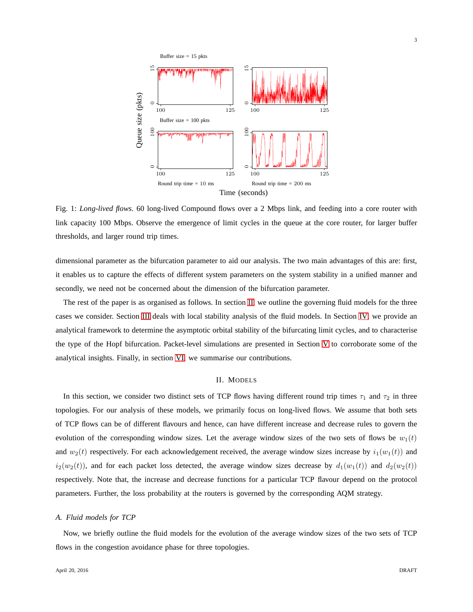<span id="page-2-0"></span>

Fig. 1: *Long-lived flows*. 60 long-lived Compound flows over a 2 Mbps link, and feeding into a core router with link capacity 100 Mbps. Observe the emergence of limit cycles in the queue at the core router, for larger buffer thresholds, and larger round trip times.

dimensional parameter as the bifurcation parameter to aid our analysis. The two main advantages of this are: first, it enables us to capture the effects of different system parameters on the system stability in a unified manner and secondly, we need not be concerned about the dimension of the bifurcation parameter.

The rest of the paper is as organised as follows. In section [II,](#page-2-1) we outline the governing fluid models for the three cases we consider. Section [III](#page-5-0) deals with local stability analysis of the fluid models. In Section [IV,](#page-10-0) we provide an analytical framework to determine the asymptotic orbital stability of the bifurcating limit cycles, and to characterise the type of the Hopf bifurcation. Packet-level simulations are presented in Section [V](#page-20-0) to corroborate some of the analytical insights. Finally, in section [VI,](#page-22-8) we summarise our contributions.

# II. MODELS

<span id="page-2-1"></span>In this section, we consider two distinct sets of TCP flows having different round trip times  $\tau_1$  and  $\tau_2$  in three topologies. For our analysis of these models, we primarily focus on long-lived flows. We assume that both sets of TCP flows can be of different flavours and hence, can have different increase and decrease rules to govern the evolution of the corresponding window sizes. Let the average window sizes of the two sets of flows be  $w_1(t)$ and  $w_2(t)$  respectively. For each acknowledgement received, the average window sizes increase by  $i_1(w_1(t))$  and  $i_2(w_2(t))$ , and for each packet loss detected, the average window sizes decrease by  $d_1(w_1(t))$  and  $d_2(w_2(t))$ respectively. Note that, the increase and decrease functions for a particular TCP flavour depend on the protocol parameters. Further, the loss probability at the routers is governed by the corresponding AQM strategy.

### *A. Fluid models for TCP*

Now, we briefly outline the fluid models for the evolution of the average window sizes of the two sets of TCP flows in the congestion avoidance phase for three topologies.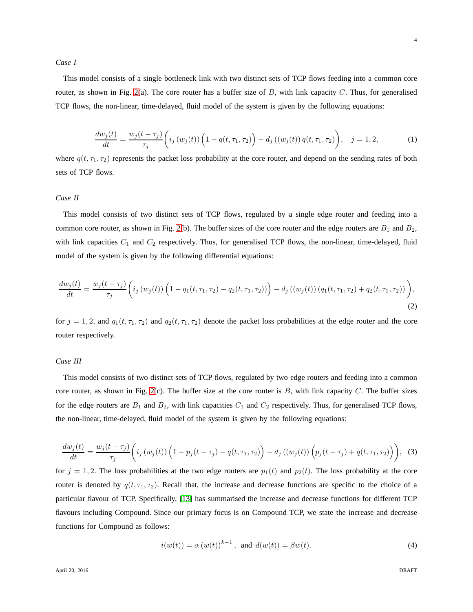*Case I*

This model consists of a single bottleneck link with two distinct sets of TCP flows feeding into a common core router, as shown in Fig. [2\(](#page-4-0)a). The core router has a buffer size of  $B$ , with link capacity  $C$ . Thus, for generalised TCP flows, the non-linear, time-delayed, fluid model of the system is given by the following equations:

<span id="page-3-0"></span>
$$
\frac{dw_j(t)}{dt} = \frac{w_j(t-\tau_j)}{\tau_j} \left( i_j \left( w_j(t) \right) \left( 1 - q(t,\tau_1,\tau_2) \right) - d_j \left( \left( w_j(t) \right) q(t,\tau_1,\tau_2) \right), \quad j = 1,2,\tag{1}
$$

where  $q(t, \tau_1, \tau_2)$  represents the packet loss probability at the core router, and depend on the sending rates of both sets of TCP flows.

### *Case II*

This model consists of two distinct sets of TCP flows, regulated by a single edge router and feeding into a common core router, as shown in Fig. [2\(](#page-4-0)b). The buffer sizes of the core router and the edge routers are  $B_1$  and  $B_2$ , with link capacities  $C_1$  and  $C_2$  respectively. Thus, for generalised TCP flows, the non-linear, time-delayed, fluid model of the system is given by the following differential equations:

$$
\frac{dw_j(t)}{dt} = \frac{w_j(t-\tau_j)}{\tau_j} \left( i_j \left( w_j(t) \right) \left( 1 - q_1(t, \tau_1, \tau_2) - q_2(t, \tau_1, \tau_2) \right) \right) - d_j \left( \left( w_j(t) \right) \left( q_1(t, \tau_1, \tau_2) + q_2(t, \tau_1, \tau_2) \right) \right),\tag{2}
$$

for  $j = 1, 2$ , and  $q_1(t, \tau_1, \tau_2)$  and  $q_2(t, \tau_1, \tau_2)$  denote the packet loss probabilities at the edge router and the core router respectively.

# *Case III*

This model consists of two distinct sets of TCP flows, regulated by two edge routers and feeding into a common core router, as shown in Fig. [2\(](#page-4-0)c). The buffer size at the core router is  $B$ , with link capacity  $C$ . The buffer sizes for the edge routers are  $B_1$  and  $B_2$ , with link capacities  $C_1$  and  $C_2$  respectively. Thus, for generalised TCP flows, the non-linear, time-delayed, fluid model of the system is given by the following equations:

$$
\frac{dw_j(t)}{dt} = \frac{w_j(t-\tau_j)}{\tau_j} \left( i_j \left( w_j(t) \right) \left( 1 - p_j(t-\tau_j) - q(t,\tau_1,\tau_2) \right) - d_j \left( \left( w_j(t) \right) \left( p_j(t-\tau_j) + q(t,\tau_1,\tau_2) \right) \right), \tag{3}
$$

for  $j = 1, 2$ . The loss probabilities at the two edge routers are  $p_1(t)$  and  $p_2(t)$ . The loss probability at the core router is denoted by  $q(t, \tau_1, \tau_2)$ . Recall that, the increase and decrease functions are specific to the choice of a particular flavour of TCP. Specifically, [\[13\]](#page-22-9) has summarised the increase and decrease functions for different TCP flavours including Compound. Since our primary focus is on Compound TCP, we state the increase and decrease functions for Compound as follows:

<span id="page-3-3"></span><span id="page-3-2"></span><span id="page-3-1"></span>
$$
i(w(t)) = \alpha (w(t))^{k-1}
$$
, and  $d(w(t)) = \beta w(t)$ . (4)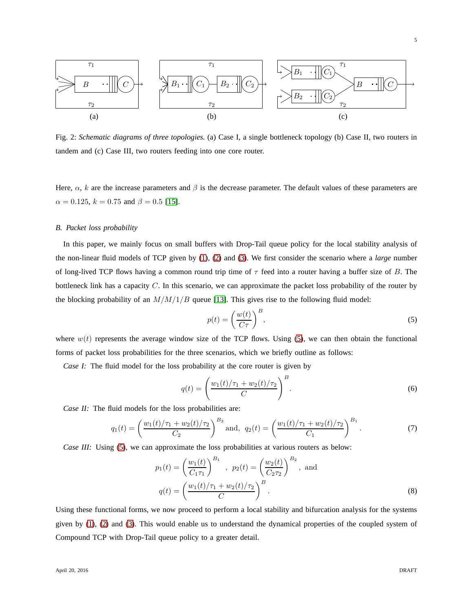<span id="page-4-0"></span>

Fig. 2: *Schematic diagrams of three topologies.* (a) Case I, a single bottleneck topology (b) Case II, two routers in tandem and (c) Case III, two routers feeding into one core router.

Here,  $\alpha$ , k are the increase parameters and  $\beta$  is the decrease parameter. The default values of these parameters are  $\alpha = 0.125$ ,  $k = 0.75$  and  $\beta = 0.5$  [\[15\]](#page-23-0).

#### *B. Packet loss probability*

In this paper, we mainly focus on small buffers with Drop-Tail queue policy for the local stability analysis of the non-linear fluid models of TCP given by [\(1\)](#page-3-0), [\(2\)](#page-3-1) and [\(3\)](#page-3-2). We first consider the scenario where a *large* number of long-lived TCP flows having a common round trip time of  $\tau$  feed into a router having a buffer size of B. The bottleneck link has a capacity C. In this scenario, we can approximate the packet loss probability of the router by the blocking probability of an  $M/M/1/B$  queue [\[13\]](#page-22-9). This gives rise to the following fluid model:

<span id="page-4-3"></span><span id="page-4-2"></span><span id="page-4-1"></span>
$$
p(t) = \left(\frac{w(t)}{C\tau}\right)^B,\tag{5}
$$

where  $w(t)$  represents the average window size of the TCP flows. Using [\(5\)](#page-4-1), we can then obtain the functional forms of packet loss probabilities for the three scenarios, which we briefly outline as follows:

*Case I:* The fluid model for the loss probability at the core router is given by

<span id="page-4-4"></span>
$$
q(t) = \left(\frac{w_1(t)/\tau_1 + w_2(t)/\tau_2}{C}\right)^B.
$$
\n(6)

*Case II:* The fluid models for the loss probabilities are:

$$
q_1(t) = \left(\frac{w_1(t)/\tau_1 + w_2(t)/\tau_2}{C_2}\right)^{B_2} \text{ and, } q_2(t) = \left(\frac{w_1(t)/\tau_1 + w_2(t)/\tau_2}{C_1}\right)^{B_1}.\tag{7}
$$

*Case III:* Using [\(5\)](#page-4-1), we can approximate the loss probabilities at various routers as below:

$$
p_1(t) = \left(\frac{w_1(t)}{C_1\tau_1}\right)^{B_1}, \quad p_2(t) = \left(\frac{w_2(t)}{C_2\tau_2}\right)^{B_2}, \text{ and}
$$

$$
q(t) = \left(\frac{w_1(t)/\tau_1 + w_2(t)/\tau_2}{C}\right)^B.
$$
 (8)

Using these functional forms, we now proceed to perform a local stability and bifurcation analysis for the systems given by [\(1\)](#page-3-0), [\(2\)](#page-3-1) and [\(3\)](#page-3-2). This would enable us to understand the dynamical properties of the coupled system of Compound TCP with Drop-Tail queue policy to a greater detail.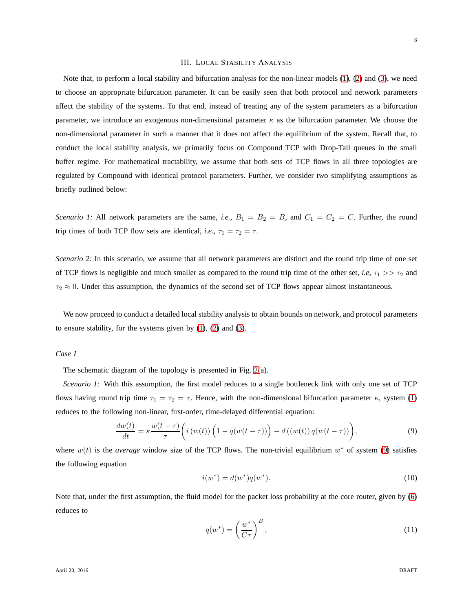### III. LOCAL STABILITY ANALYSIS

<span id="page-5-0"></span>Note that, to perform a local stability and bifurcation analysis for the non-linear models [\(1\)](#page-3-0), [\(2\)](#page-3-1) and [\(3\)](#page-3-2), we need to choose an appropriate bifurcation parameter. It can be easily seen that both protocol and network parameters affect the stability of the systems. To that end, instead of treating any of the system parameters as a bifurcation parameter, we introduce an exogenous non-dimensional parameter  $\kappa$  as the bifurcation parameter. We choose the non-dimensional parameter in such a manner that it does not affect the equilibrium of the system. Recall that, to conduct the local stability analysis, we primarily focus on Compound TCP with Drop-Tail queues in the small buffer regime. For mathematical tractability, we assume that both sets of TCP flows in all three topologies are regulated by Compound with identical protocol parameters. Further, we consider two simplifying assumptions as briefly outlined below:

*Scenario 1:* All network parameters are the same, *i.e.*,  $B_1 = B_2 = B$ , and  $C_1 = C_2 = C$ . Further, the round trip times of both TCP flow sets are identical, *i.e.*,  $\tau_1 = \tau_2 = \tau$ .

*Scenario 2:* In this scenario, we assume that all network parameters are distinct and the round trip time of one set of TCP flows is negligible and much smaller as compared to the round trip time of the other set, *i.e.*  $\tau_1 >> \tau_2$  and  $\tau_2 \approx 0$ . Under this assumption, the dynamics of the second set of TCP flows appear almost instantaneous.

We now proceed to conduct a detailed local stability analysis to obtain bounds on network, and protocol parameters to ensure stability, for the systems given by [\(1\)](#page-3-0), [\(2\)](#page-3-1) and [\(3\)](#page-3-2).

*Case I*

The schematic diagram of the topology is presented in Fig. [2\(](#page-4-0)a).

*Scenario 1:* With this assumption, the first model reduces to a single bottleneck link with only one set of TCP flows having round trip time  $\tau_1 = \tau_2 = \tau$ . Hence, with the non-dimensional bifurcation parameter  $\kappa$ , system [\(1\)](#page-3-0) reduces to the following non-linear, first-order, time-delayed differential equation:

$$
\frac{dw(t)}{dt} = \kappa \frac{w(t-\tau)}{\tau} \bigg( i \left( w(t) \right) \left( 1 - q(w(t-\tau)) \right) - d \left( \left( w(t) \right) q(w(t-\tau) \right) \bigg),\tag{9}
$$

where  $w(t)$  is the *average* window size of the TCP flows. The non-trivial equilibrium  $w^*$  of system [\(9\)](#page-5-1) satisfies the following equation

<span id="page-5-1"></span>
$$
i(w^*) = d(w^*)q(w^*).
$$
 (10)

Note that, under the first assumption, the fluid model for the packet loss probability at the core router, given by [\(6\)](#page-4-2) reduces to

$$
q(w^*) = \left(\frac{w^*}{C\tau}\right)^B,\tag{11}
$$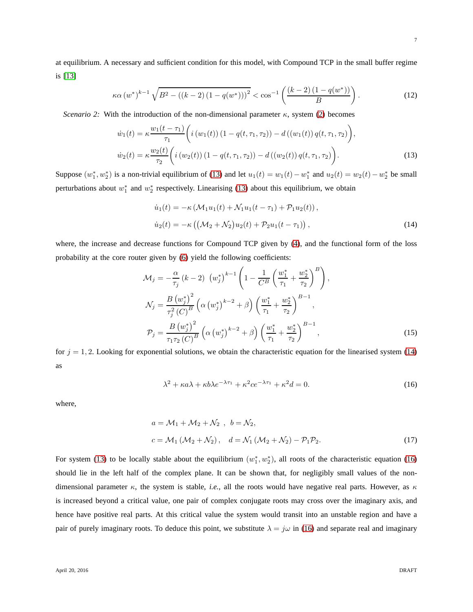<span id="page-6-1"></span><span id="page-6-0"></span>7

at equilibrium. A necessary and sufficient condition for this model, with Compound TCP in the small buffer regime is [\[13\]](#page-22-9)

$$
\kappa \alpha \left(w^*\right)^{k-1} \sqrt{B^2 - \left((k-2)\left(1 - q(w^*)\right)\right)^2} < \cos^{-1}\left(\frac{(k-2)\left(1 - q(w^*)\right)}{B}\right). \tag{12}
$$

*Scenario 2:* With the introduction of the non-dimensional parameter  $\kappa$ , system [\(2\)](#page-3-1) becomes

$$
\dot{w}_1(t) = \kappa \frac{w_1(t - \tau_1)}{\tau_1} \left( i \left( w_1(t) \right) \left( 1 - q(t, \tau_1, \tau_2) \right) - d \left( \left( w_1(t) \right) q(t, \tau_1, \tau_2) \right),
$$
\n
$$
\dot{w}_2(t) = \kappa \frac{w_2(t)}{\tau_2} \left( i \left( w_2(t) \right) \left( 1 - q(t, \tau_1, \tau_2) \right) - d \left( \left( w_2(t) \right) q(t, \tau_1, \tau_2) \right) \right). \tag{13}
$$

Suppose  $(w_1^*, w_2^*)$  is a non-trivial equilibrium of [\(13\)](#page-6-0) and let  $u_1(t) = w_1(t) - w_1^*$  and  $u_2(t) = w_2(t) - w_2^*$  be small perturbations about  $w_1^*$  and  $w_2^*$  respectively. Linearising [\(13\)](#page-6-0) about this equilibrium, we obtain

$$
\dot{u}_1(t) = -\kappa \left( \mathcal{M}_1 u_1(t) + \mathcal{N}_1 u_1(t - \tau_1) + \mathcal{P}_1 u_2(t) \right),
$$
  
\n
$$
\dot{u}_2(t) = -\kappa \left( \left( \mathcal{M}_2 + \mathcal{N}_2 \right) u_2(t) + \mathcal{P}_2 u_1(t - \tau_1) \right),
$$
\n(14)

where, the increase and decrease functions for Compound TCP given by [\(4\)](#page-3-3), and the functional form of the loss probability at the core router given by [\(6\)](#page-4-2) yield the following coefficients:

$$
\mathcal{M}_{j} = -\frac{\alpha}{\tau_{j}} (k - 2) (w_{j}^{*})^{k-1} \left( 1 - \frac{1}{C^{B}} \left( \frac{w_{1}^{*}}{\tau_{1}} + \frac{w_{2}^{*}}{\tau_{2}} \right)^{B} \right),
$$
  
\n
$$
\mathcal{N}_{j} = \frac{B (w_{j}^{*})^{2}}{\tau_{j}^{2} (C)^{B}} \left( \alpha (w_{j}^{*})^{k-2} + \beta \right) \left( \frac{w_{1}^{*}}{\tau_{1}} + \frac{w_{2}^{*}}{\tau_{2}} \right)^{B-1},
$$
  
\n
$$
\mathcal{P}_{j} = \frac{B (w_{j}^{*})^{2}}{\tau_{1} \tau_{2} (C)^{B}} \left( \alpha (w_{j}^{*})^{k-2} + \beta \right) \left( \frac{w_{1}^{*}}{\tau_{1}} + \frac{w_{2}^{*}}{\tau_{2}} \right)^{B-1},
$$
\n(15)

for  $j = 1, 2$ . Looking for exponential solutions, we obtain the characteristic equation for the linearised system [\(14\)](#page-6-1) as

<span id="page-6-2"></span>
$$
\lambda^2 + \kappa a \lambda + \kappa b \lambda e^{-\lambda \tau_1} + \kappa^2 c e^{-\lambda \tau_1} + \kappa^2 d = 0.
$$
 (16)

where,

$$
a = \mathcal{M}_1 + \mathcal{M}_2 + \mathcal{N}_2, \quad b = \mathcal{N}_2,
$$
  
\n
$$
c = \mathcal{M}_1 (\mathcal{M}_2 + \mathcal{N}_2), \quad d = \mathcal{N}_1 (\mathcal{M}_2 + \mathcal{N}_2) - \mathcal{P}_1 \mathcal{P}_2.
$$
 (17)

For system [\(13\)](#page-6-0) to be locally stable about the equilibrium  $(w_1^*, w_2^*)$ , all roots of the characteristic equation [\(16\)](#page-6-2) should lie in the left half of the complex plane. It can be shown that, for negligibly small values of the nondimensional parameter  $\kappa$ , the system is stable, *i.e.*, all the roots would have negative real parts. However, as  $\kappa$ is increased beyond a critical value, one pair of complex conjugate roots may cross over the imaginary axis, and hence have positive real parts. At this critical value the system would transit into an unstable region and have a pair of purely imaginary roots. To deduce this point, we substitute  $\lambda = j\omega$  in [\(16\)](#page-6-2) and separate real and imaginary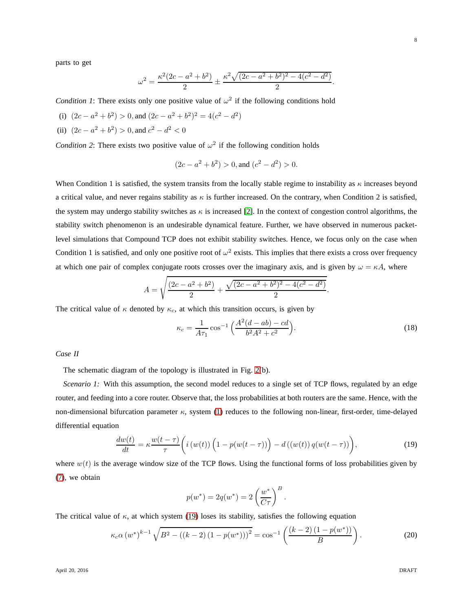parts to get

$$
\omega^{2} = \frac{\kappa^{2}(2c - a^{2} + b^{2})}{2} \pm \frac{\kappa^{2}\sqrt{(2c - a^{2} + b^{2})^{2} - 4(c^{2} - d^{2})}}{2}
$$

*Condition 1*: There exists only one positive value of  $\omega^2$  if the following conditions hold

- (i)  $(2c a^2 + b^2) > 0$ , and  $(2c a^2 + b^2)^2 = 4(c^2 d^2)$
- (ii)  $(2c a^2 + b^2) > 0$ , and  $c^2 d^2 < 0$

*Condition 2*: There exists two positive value of  $\omega^2$  if the following condition holds

$$
(2c - a2 + b2) > 0
$$
, and  $(c2 - d2) > 0$ .

When Condition 1 is satisfied, the system transits from the locally stable regime to instability as  $\kappa$  increases beyond a critical value, and never regains stability as  $\kappa$  is further increased. On the contrary, when Condition 2 is satisfied, the system may undergo stability switches as  $\kappa$  is increased [\[2\]](#page-22-10). In the context of congestion control algorithms, the stability switch phenomenon is an undesirable dynamical feature. Further, we have observed in numerous packetlevel simulations that Compound TCP does not exhibit stability switches. Hence, we focus only on the case when Condition 1 is satisfied, and only one positive root of  $\omega^2$  exists. This implies that there exists a cross over frequency at which one pair of complex conjugate roots crosses over the imaginary axis, and is given by  $\omega = \kappa A$ , where

$$
A = \sqrt{\frac{(2c - a^2 + b^2)}{2} + \frac{\sqrt{(2c - a^2 + b^2)^2 - 4(c^2 - d^2)}}{2}}.
$$

The critical value of  $\kappa$  denoted by  $\kappa_c$ , at which this transition occurs, is given by

$$
\kappa_c = \frac{1}{A\tau_1} \cos^{-1} \left( \frac{A^2(d - ab) - cd}{b^2 A^2 + c^2} \right).
$$
 (18)

.

*Case II*

The schematic diagram of the topology is illustrated in Fig. [2\(](#page-4-0)b).

*Scenario 1:* With this assumption, the second model reduces to a single set of TCP flows, regulated by an edge router, and feeding into a core router. Observe that, the loss probabilities at both routers are the same. Hence, with the non-dimensional bifurcation parameter  $κ$ , system [\(1\)](#page-3-0) reduces to the following non-linear, first-order, time-delayed differential equation

$$
\frac{dw(t)}{dt} = \kappa \frac{w(t-\tau)}{\tau} \bigg( i \left( w(t) \right) \left( 1 - p(w(t-\tau)) \right) - d \left( \left( w(t) \right) q(w(t-\tau) \right) \bigg),\tag{19}
$$

<span id="page-7-1"></span><span id="page-7-0"></span>.

where  $w(t)$  is the average window size of the TCP flows. Using the functional forms of loss probabilities given by [\(7\)](#page-4-3), we obtain

$$
p(w^*) = 2q(w^*) = 2\left(\frac{w^*}{C\tau}\right)^B
$$

The critical value of  $\kappa$ , at which system [\(19\)](#page-7-0) loses its stability, satisfies the following equation

$$
\kappa_c \alpha \left(w^*\right)^{k-1} \sqrt{B^2 - \left((k-2)\left(1 - p(w^*)\right)\right)^2} = \cos^{-1}\left(\frac{(k-2)\left(1 - p(w^*)\right)}{B}\right). \tag{20}
$$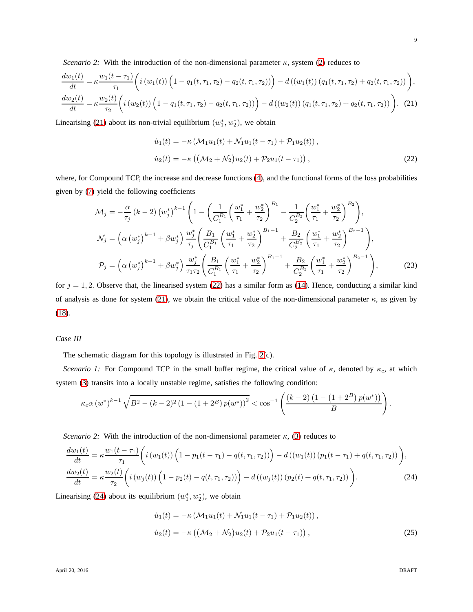*Scenario 2:* With the introduction of the non-dimensional parameter  $\kappa$ , system [\(2\)](#page-3-1) reduces to

$$
\frac{dw_1(t)}{dt} = \kappa \frac{w_1(t-\tau_1)}{\tau_1} \left( i \left( w_1(t) \right) \left( 1 - q_1(t, \tau_1, \tau_2) - q_2(t, \tau_1, \tau_2) \right) \right) - d \left( \left( w_1(t) \right) \left( q_1(t, \tau_1, \tau_2) + q_2(t, \tau_1, \tau_2) \right) \right),
$$
\n
$$
\frac{dw_2(t)}{dt} = \kappa \frac{w_2(t)}{\tau_2} \left( i \left( w_2(t) \right) \left( 1 - q_1(t, \tau_1, \tau_2) - q_2(t, \tau_1, \tau_2) \right) \right) - d \left( \left( w_2(t) \right) \left( q_1(t, \tau_1, \tau_2) + q_2(t, \tau_1, \tau_2) \right) \right). \tag{21}
$$

Linearising [\(21\)](#page-8-0) about its non-trivial equilibrium  $(w_1^*, w_2^*)$ , we obtain

<span id="page-8-1"></span><span id="page-8-0"></span>
$$
\dot{u}_1(t) = -\kappa \left( \mathcal{M}_1 u_1(t) + \mathcal{N}_1 u_1(t - \tau_1) + \mathcal{P}_1 u_2(t) \right),
$$
  
\n
$$
\dot{u}_2(t) = -\kappa \left( \left( \mathcal{M}_2 + \mathcal{N}_2 \right) u_2(t) + \mathcal{P}_2 u_1(t - \tau_1) \right),
$$
\n(22)

where, for Compound TCP, the increase and decrease functions [\(4\)](#page-3-3), and the functional forms of the loss probabilities given by [\(7\)](#page-4-3) yield the following coefficients

$$
\mathcal{M}_{j} = -\frac{\alpha}{\tau_{j}} \left( k - 2 \right) \left( w_{j}^{*} \right)^{k-1} \left( 1 - \left( \frac{1}{C_{1}^{B_{1}}} \left( \frac{w_{1}^{*}}{\tau_{1}} + \frac{w_{2}^{*}}{\tau_{2}} \right)^{B_{1}} - \frac{1}{C_{2}^{B_{2}}} \left( \frac{w_{1}^{*}}{\tau_{1}} + \frac{w_{2}^{*}}{\tau_{2}} \right)^{B_{2}} \right),
$$
\n
$$
\mathcal{N}_{j} = \left( \alpha \left( w_{j}^{*} \right)^{k-1} + \beta w_{j}^{*} \right) \frac{w_{j}^{*}}{\tau_{j}} \left( \frac{B_{1}}{C_{1}^{B_{1}}} \left( \frac{w_{1}^{*}}{\tau_{1}} + \frac{w_{2}^{*}}{\tau_{2}} \right)^{B_{1}-1} + \frac{B_{2}}{C_{2}^{B_{2}}} \left( \frac{w_{1}^{*}}{\tau_{1}} + \frac{w_{2}^{*}}{\tau_{2}} \right)^{B_{2}-1} \right),
$$
\n
$$
\mathcal{P}_{j} = \left( \alpha \left( w_{j}^{*} \right)^{k-1} + \beta w_{j}^{*} \right) \frac{w_{j}^{*}}{\tau_{1}\tau_{2}} \left( \frac{B_{1}}{C_{1}^{B_{1}}} \left( \frac{w_{1}^{*}}{\tau_{1}} + \frac{w_{2}^{*}}{\tau_{2}} \right)^{B_{1}-1} + \frac{B_{2}}{C_{2}^{B_{2}}} \left( \frac{w_{1}^{*}}{\tau_{1}} + \frac{w_{2}^{*}}{\tau_{2}} \right)^{B_{2}-1} \right), \tag{23}
$$

for  $j = 1, 2$ . Observe that, the linearised system [\(22\)](#page-8-1) has a similar form as [\(14\)](#page-6-1). Hence, conducting a similar kind of analysis as done for system [\(21\)](#page-8-0), we obtain the critical value of the non-dimensional parameter  $\kappa$ , as given by [\(18\)](#page-7-1).

#### *Case III*

The schematic diagram for this topology is illustrated in Fig. [2\(](#page-4-0)c).

*Scenario 1:* For Compound TCP in the small buffer regime, the critical value of  $\kappa$ , denoted by  $\kappa_c$ , at which system [\(3\)](#page-3-2) transits into a locally unstable regime, satisfies the following condition:

$$
\kappa_c \alpha \left(w^*\right)^{k-1} \sqrt{B^2 - (k-2)^2 \left(1 - (1+2^B) p(w^*)\right)^2} < \cos^{-1} \left(\frac{(k-2) \left(1 - (1+2^B) p(w^*)\right)}{B}\right).
$$

*Scenario 2:* With the introduction of the non-dimensional parameter  $\kappa$ , [\(3\)](#page-3-2) reduces to

$$
\frac{dw_1(t)}{dt} = \kappa \frac{w_1(t-\tau_1)}{\tau_1} \left( i \left( w_1(t) \right) \left( 1 - p_1(t-\tau_1) - q(t,\tau_1,\tau_2) \right) \right) - d \left( \left( w_1(t) \right) \left( p_1(t-\tau_1) + q(t,\tau_1,\tau_2) \right) \right),
$$
\n
$$
\frac{dw_2(t)}{dt} = \kappa \frac{w_2(t)}{\tau_2} \left( i \left( w_j(t) \right) \left( 1 - p_2(t) - q(t,\tau_1,\tau_2) \right) \right) - d \left( \left( w_j(t) \right) \left( p_2(t) + q(t,\tau_1,\tau_2) \right) \right).
$$
\n(24)

Linearising [\(24\)](#page-8-2) about its equilibrium  $(w_1^*, w_2^*)$ , we obtain

<span id="page-8-3"></span><span id="page-8-2"></span>
$$
\dot{u}_1(t) = -\kappa \left( \mathcal{M}_1 u_1(t) + \mathcal{N}_1 u_1(t - \tau_1) + \mathcal{P}_1 u_2(t) \right),
$$
  
\n
$$
\dot{u}_2(t) = -\kappa \left( \left( \mathcal{M}_2 + \mathcal{N}_2 \right) u_2(t) + \mathcal{P}_2 u_1(t - \tau_1) \right),
$$
\n(25)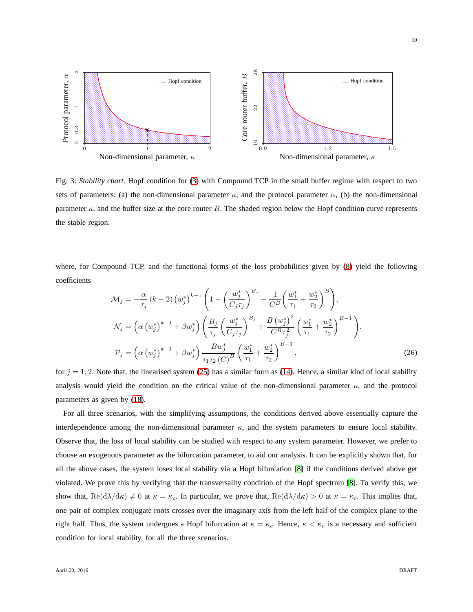<span id="page-9-0"></span>

Fig. 3: *Stability chart.* Hopf condition for [\(3\)](#page-3-2) with Compound TCP in the small buffer regime with respect to two sets of parameters: (a) the non-dimensional parameter  $\kappa$ , and the protocol parameter  $\alpha$ , (b) the non-dimensional parameter  $\kappa$ , and the buffer size at the core router B. The shaded region below the Hopf condition curve represents the stable region.

where, for Compound TCP, and the functional forms of the loss probabilities given by [\(8\)](#page-4-4) yield the following coefficients

$$
\mathcal{M}_{j} = -\frac{\alpha}{\tau_{j}} \left( k - 2 \right) \left( w_{j}^{*} \right)^{k-1} \left( 1 - \left( \frac{w_{j}^{*}}{C_{j} \tau_{j}} \right)^{B_{j}} - \frac{1}{C^{B}} \left( \frac{w_{1}^{*}}{\tau_{1}} + \frac{w_{2}^{*}}{\tau_{2}} \right)^{B} \right),
$$
\n
$$
\mathcal{N}_{j} = \left( \alpha \left( w_{j}^{*} \right)^{k-1} + \beta w_{j}^{*} \right) \left( \frac{B_{j}}{\tau_{j}} \left( \frac{w_{j}^{*}}{C_{j} \tau_{j}} \right)^{B_{j}} + \frac{B \left( w_{j}^{*} \right)^{2}}{C^{B} \tau_{j}^{2}} \left( \frac{w_{1}^{*}}{\tau_{1}} + \frac{w_{2}^{*}}{\tau_{2}} \right)^{B-1} \right),
$$
\n
$$
\mathcal{P}_{j} = \left( \alpha \left( w_{j}^{*} \right)^{k-1} + \beta w_{j}^{*} \right) \frac{B w_{j}^{*}}{\tau_{1} \tau_{2} \left( C \right)^{B}} \left( \frac{w_{1}^{*}}{\tau_{1}} + \frac{w_{2}^{*}}{\tau_{2}} \right)^{B-1}, \tag{26}
$$

for  $j = 1, 2$ . Note that, the linearised system [\(25\)](#page-8-3) has a similar form as [\(14\)](#page-6-1). Hence, a similar kind of local stability analysis would yield the condition on the critical value of the non-dimensional parameter  $\kappa$ , and the protocol parameters as given by [\(18\)](#page-7-1).

For all three scenarios, with the simplifying assumptions, the conditions derived above essentially capture the interdependence among the non-dimensional parameter  $\kappa$ , and the system parameters to ensure local stability. Observe that, the loss of local stability can be studied with respect to any system parameter. However, we prefer to choose an exogenous parameter as the bifurcation parameter, to aid our analysis. It can be explicitly shown that, for all the above cases, the system loses local stability via a Hopf bifurcation [\[8\]](#page-22-11) if the conditions derived above get violated. We prove this by verifying that the transversality condition of the Hopf spectrum [\[8\]](#page-22-11). To verify this, we show that,  $\text{Re}(d\lambda/d\kappa) \neq 0$  at  $\kappa = \kappa_c$ . In particular, we prove that,  $\text{Re}(d\lambda/d\kappa) > 0$  at  $\kappa = \kappa_c$ . This implies that, one pair of complex conjugate roots crosses over the imaginary axis from the left half of the complex plane to the right half. Thus, the system undergoes a Hopf bifurcation at  $\kappa = \kappa_c$ . Hence,  $\kappa < \kappa_c$  is a necessary and sufficient condition for local stability, for all the three scenarios.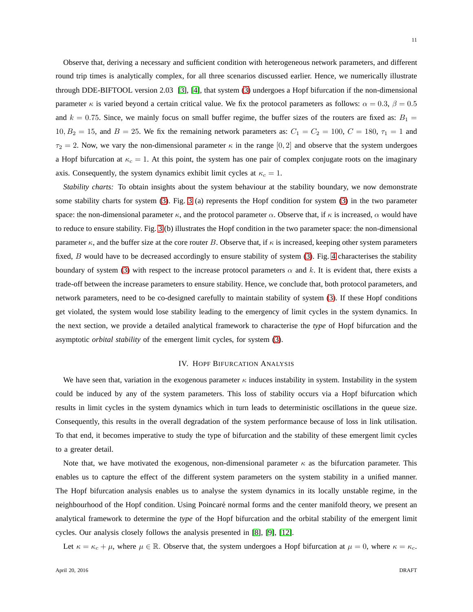Observe that, deriving a necessary and sufficient condition with heterogeneous network parameters, and different round trip times is analytically complex, for all three scenarios discussed earlier. Hence, we numerically illustrate through DDE-BIFTOOL version 2.03 [\[3\]](#page-22-6), [\[4\]](#page-22-7), that system [\(3\)](#page-3-2) undergoes a Hopf bifurcation if the non-dimensional parameter  $\kappa$  is varied beyond a certain critical value. We fix the protocol parameters as follows:  $\alpha = 0.3$ ,  $\beta = 0.5$ and  $k = 0.75$ . Since, we mainly focus on small buffer regime, the buffer sizes of the routers are fixed as:  $B_1 =$  $10, B_2 = 15$ , and  $B = 25$ . We fix the remaining network parameters as:  $C_1 = C_2 = 100$ ,  $C = 180$ ,  $\tau_1 = 1$  and  $\tau_2 = 2$ . Now, we vary the non-dimensional parameter  $\kappa$  in the range [0, 2] and observe that the system undergoes a Hopf bifurcation at  $\kappa_c = 1$ . At this point, the system has one pair of complex conjugate roots on the imaginary axis. Consequently, the system dynamics exhibit limit cycles at  $\kappa_c = 1$ .

*Stability charts:* To obtain insights about the system behaviour at the stability boundary, we now demonstrate some stability charts for system [\(3\)](#page-3-2). Fig. [3](#page-9-0) (a) represents the Hopf condition for system [\(3\)](#page-3-2) in the two parameter space: the non-dimensional parameter  $\kappa$ , and the protocol parameter  $\alpha$ . Observe that, if  $\kappa$  is increased,  $\alpha$  would have to reduce to ensure stability. Fig. [3](#page-9-0) (b) illustrates the Hopf condition in the two parameter space: the non-dimensional parameter  $\kappa$ , and the buffer size at the core router B. Observe that, if  $\kappa$  is increased, keeping other system parameters fixed, B would have to be decreased accordingly to ensure stability of system [\(3\)](#page-3-2). Fig. [4](#page-12-0) characterises the stability boundary of system [\(3\)](#page-3-2) with respect to the increase protocol parameters  $\alpha$  and k. It is evident that, there exists a trade-off between the increase parameters to ensure stability. Hence, we conclude that, both protocol parameters, and network parameters, need to be co-designed carefully to maintain stability of system [\(3\)](#page-3-2). If these Hopf conditions get violated, the system would lose stability leading to the emergency of limit cycles in the system dynamics. In the next section, we provide a detailed analytical framework to characterise the *type* of Hopf bifurcation and the asymptotic *orbital stability* of the emergent limit cycles, for system [\(3\)](#page-3-2).

#### IV. HOPF BIFURCATION ANALYSIS

<span id="page-10-0"></span>We have seen that, variation in the exogenous parameter  $\kappa$  induces instability in system. Instability in the system could be induced by any of the system parameters. This loss of stability occurs via a Hopf bifurcation which results in limit cycles in the system dynamics which in turn leads to deterministic oscillations in the queue size. Consequently, this results in the overall degradation of the system performance because of loss in link utilisation. To that end, it becomes imperative to study the type of bifurcation and the stability of these emergent limit cycles to a greater detail.

Note that, we have motivated the exogenous, non-dimensional parameter  $\kappa$  as the bifurcation parameter. This enables us to capture the effect of the different system parameters on the system stability in a unified manner. The Hopf bifurcation analysis enables us to analyse the system dynamics in its locally unstable regime, in the neighbourhood of the Hopf condition. Using Poincaré normal forms and the center manifold theory, we present an analytical framework to determine the *type* of the Hopf bifurcation and the orbital stability of the emergent limit cycles. Our analysis closely follows the analysis presented in [\[8\]](#page-22-11), [\[9\]](#page-22-12), [\[12\]](#page-22-13).

Let  $\kappa = \kappa_c + \mu$ , where  $\mu \in \mathbb{R}$ . Observe that, the system undergoes a Hopf bifurcation at  $\mu = 0$ , where  $\kappa = \kappa_c$ .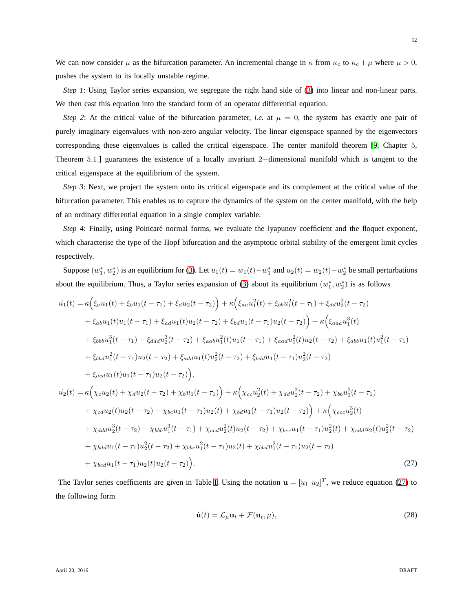We can now consider  $\mu$  as the bifurcation parameter. An incremental change in  $\kappa$  from  $\kappa_c$  to  $\kappa_c + \mu$  where  $\mu > 0$ , pushes the system to its locally unstable regime.

*Step 1*: Using Taylor series expansion, we segregate the right hand side of [\(3\)](#page-3-2) into linear and non-linear parts. We then cast this equation into the standard form of an operator differential equation.

*Step 2*: At the critical value of the bifurcation parameter, *i.e.* at  $\mu = 0$ , the system has exactly one pair of purely imaginary eigenvalues with non-zero angular velocity. The linear eigenspace spanned by the eigenvectors corresponding these eigenvalues is called the critical eigenspace. The center manifold theorem [\[9,](#page-22-12) Chapter 5, Theorem 5.1.] guarantees the existence of a locally invariant 2−dimensional manifold which is tangent to the critical eigenspace at the equilibrium of the system.

*Step 3*: Next, we project the system onto its critical eigenspace and its complement at the critical value of the bifurcation parameter. This enables us to capture the dynamics of the system on the center manifold, with the help of an ordinary differential equation in a single complex variable.

*Step 4*: Finally, using Poincaré normal forms, we evaluate the lyapunov coefficient and the floquet exponent, which characterise the type of the Hopf bifurcation and the asymptotic orbital stability of the emergent limit cycles respectively.

Suppose  $(w_1^*, w_2^*)$  is an equilibrium for [\(3\)](#page-3-2). Let  $u_1(t) = w_1(t) - w_1^*$  and  $u_2(t) = w_2(t) - w_2^*$  be small perturbations about the equilibrium. Thus, a Taylor series expansion of [\(3\)](#page-3-2) about its equilibrium  $(w_1^*, w_2^*)$  is as follows

$$
u_{1}(t) = \kappa \Big( \xi_{a} u_{1}(t) + \xi_{b} u_{1}(t-\tau_{1}) + \xi_{d} u_{2}(t-\tau_{2}) \Big) + \kappa \Big( \xi_{aa} u_{1}^{2}(t) + \xi_{bb} u_{1}^{2}(t-\tau_{1}) + \xi_{dd} u_{2}^{2}(t-\tau_{2})
$$
  
+  $\xi_{ab} u_{1}(t) u_{1}(t-\tau_{1}) + \xi_{ad} u_{1}(t) u_{2}(t-\tau_{2}) + \xi_{bd} u_{1}(t-\tau_{1}) u_{2}(t-\tau_{2}) \Big) + \kappa \Big( \xi_{aaa} u_{1}^{3}(t)$   
+  $\xi_{bbb} u_{1}^{3}(t-\tau_{1}) + \xi_{dd} u_{2}^{3}(t-\tau_{2}) + \xi_{aab} u_{1}^{2}(t) u_{1}(t-\tau_{1}) + \xi_{aaa} u_{1}^{2}(t) u_{2}(t-\tau_{2}) + \xi_{abb} u_{1}(t) u_{1}^{2}(t-\tau_{1})$   
+  $\xi_{bbd} u_{1}^{2}(t-\tau_{1}) u_{2}(t-\tau_{2}) + \xi_{add} u_{1}(t) u_{2}^{2}(t-\tau_{2}) + \xi_{bd} u_{1}(t-\tau_{1}) u_{2}^{2}(t-\tau_{2})$   
+  $\xi_{acd} u_{1}(t) u_{1}(t-\tau_{1}) u_{2}(t-\tau_{2}) \Big),$   

$$
u_{2}(t) = \kappa \Big( \chi_{c} u_{2}(t) + \chi_{d} u_{2}(t-\tau_{2}) + \chi_{b} u_{1}(t-\tau_{1}) \Big) + \kappa \Big( \chi_{cc} u_{2}^{2}(t) + \chi_{dd} u_{2}^{2}(t-\tau_{2}) + \chi_{bb} u_{1}^{2}(t-\tau_{1})
$$
  
+  $\chi_{cd} u_{2}(t) u_{2}(t-\tau_{2}) + \chi_{bc} u_{1}(t-\tau_{1}) u_{2}(t) + \chi_{bd} u_{1}(t-\tau_{1}) u_{2}(t-\tau_{2}) \Big) + \kappa \Big( \chi_{ccc} u_{2}^{3}(t) + \chi_{cdd} u_{2}^{3}(t-\tau_{2}) + \chi_{bb} u_{1}^{3}(t-\tau_{1}) + \chi_{cc} u_{2}^{2}(t) u_{2}(t-\tau_{2})$ 

The Taylor series coefficients are given in Table [I.](#page-24-0) Using the notation  $\mathbf{u} = [u_1 \ u_2]^T$ , we reduce equation [\(27\)](#page-11-0) to the following form

<span id="page-11-1"></span><span id="page-11-0"></span>
$$
\dot{\mathbf{u}}(t) = \mathcal{L}_{\mu} \mathbf{u}_t + \mathcal{F}(\mathbf{u}_t, \mu), \tag{28}
$$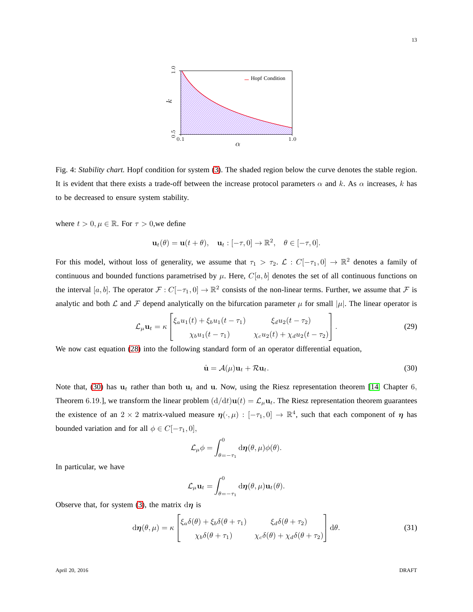<span id="page-12-0"></span>

Fig. 4: *Stability chart.* Hopf condition for system [\(3\)](#page-3-2). The shaded region below the curve denotes the stable region. It is evident that there exists a trade-off between the increase protocol parameters  $\alpha$  and k. As  $\alpha$  increases, k has to be decreased to ensure system stability.

where  $t > 0, \mu \in \mathbb{R}$ . For  $\tau > 0$ , we define

$$
\mathbf{u}_t(\theta) = \mathbf{u}(t+\theta), \quad \mathbf{u}_t : [-\tau, 0] \to \mathbb{R}^2, \quad \theta \in [-\tau, 0].
$$

For this model, without loss of generality, we assume that  $\tau_1 > \tau_2$ .  $\mathcal{L} : C[-\tau_1, 0] \to \mathbb{R}^2$  denotes a family of continuous and bounded functions parametrised by  $\mu$ . Here,  $C[a, b]$  denotes the set of all continuous functions on the interval  $[a, b]$ . The operator  $\mathcal{F}: C[-\tau_1, 0] \to \mathbb{R}^2$  consists of the non-linear terms. Further, we assume that  $\mathcal{F}$  is analytic and both  $\mathcal L$  and  $\mathcal F$  depend analytically on the bifurcation parameter  $\mu$  for small  $|\mu|$ . The linear operator is

$$
\mathcal{L}_{\mu}\mathbf{u}_{t} = \kappa \begin{bmatrix} \xi_{a}u_{1}(t) + \xi_{b}u_{1}(t-\tau_{1}) & \xi_{d}u_{2}(t-\tau_{2}) \\ \chi_{b}u_{1}(t-\tau_{1}) & \chi_{c}u_{2}(t) + \chi_{d}u_{2}(t-\tau_{2}) \end{bmatrix}.
$$
 (29)

We now cast equation [\(28\)](#page-11-1) into the following standard form of an operator differential equation,

<span id="page-12-1"></span>
$$
\dot{\mathbf{u}} = \mathcal{A}(\mu)\mathbf{u}_t + \mathcal{R}\mathbf{u}_t. \tag{30}
$$

Note that, [\(30\)](#page-12-1) has  $u_t$  rather than both  $u_t$  and u. Now, using the Riesz representation theorem [\[14,](#page-22-14) Chapter 6, Theorem 6.19.], we transform the linear problem  $(d/dt)u(t) = \mathcal{L}_{\mu}u_t$ . The Riesz representation theorem guarantees the existence of an 2  $\times$  2 matrix-valued measure  $\eta(\cdot,\mu): [-\tau_1,0] \to \mathbb{R}^4$ , such that each component of  $\eta$  has bounded variation and for all  $\phi \in C[-\tau_1, 0],$ 

$$
\mathcal{L}_{\mu}\phi = \int_{\theta=-\tau_1}^0 d\eta(\theta,\mu)\phi(\theta).
$$

In particular, we have

$$
\mathcal{L}_{\mu} \mathbf{u}_{t} = \int_{\theta=-\tau_1}^{0} d\boldsymbol{\eta}(\theta, \mu) \mathbf{u}_{t}(\theta).
$$

Observe that, for system [\(3\)](#page-3-2), the matrix  $d\eta$  is

$$
d\boldsymbol{\eta}(\theta,\mu) = \kappa \begin{bmatrix} \xi_a \delta(\theta) + \xi_b \delta(\theta + \tau_1) & \xi_d \delta(\theta + \tau_2) \\ \chi_b \delta(\theta + \tau_1) & \chi_c \delta(\theta) + \chi_d \delta(\theta + \tau_2) \end{bmatrix} d\theta.
$$
 (31)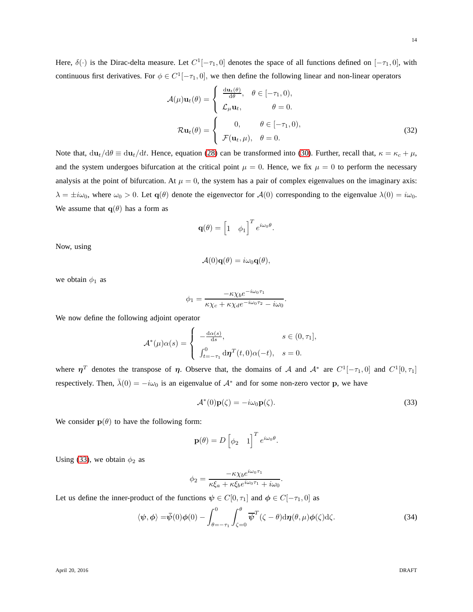Here,  $\delta(\cdot)$  is the Dirac-delta measure. Let  $C^1[-\tau_1, 0]$  denotes the space of all functions defined on  $[-\tau_1, 0]$ , with continuous first derivatives. For  $\phi \in C^1[-\tau_1, 0]$ , we then define the following linear and non-linear operators

$$
\mathcal{A}(\mu)\mathbf{u}_t(\theta) = \begin{cases} \frac{\mathrm{d}\mathbf{u}_t(\theta)}{\mathrm{d}\theta}, & \theta \in [-\tau_1, 0), \\ \mathcal{L}_{\mu}\mathbf{u}_t, & \theta = 0. \end{cases}
$$

$$
\mathcal{R}\mathbf{u}_t(\theta) = \begin{cases} 0, & \theta \in [-\tau_1, 0), \\ \mathcal{F}(\mathbf{u}_t, \mu), & \theta = 0. \end{cases}
$$
(32)

Note that,  $du_t/d\theta \equiv du_t/dt$ . Hence, equation [\(28\)](#page-11-1) can be transformed into [\(30\)](#page-12-1). Further, recall that,  $\kappa = \kappa_c + \mu$ , and the system undergoes bifurcation at the critical point  $\mu = 0$ . Hence, we fix  $\mu = 0$  to perform the necessary analysis at the point of bifurcation. At  $\mu = 0$ , the system has a pair of complex eigenvalues on the imaginary axis:  $\lambda = \pm i\omega_0$ , where  $\omega_0 > 0$ . Let  $\mathbf{q}(\theta)$  denote the eigenvector for  $\mathcal{A}(0)$  corresponding to the eigenvalue  $\lambda(0) = i\omega_0$ . We assume that  $q(\theta)$  has a form as

<span id="page-13-1"></span>
$$
\mathbf{q}(\theta) = \begin{bmatrix} 1 & \phi_1 \end{bmatrix}^T e^{i\omega_0 \theta}.
$$

Now, using

$$
\mathcal{A}(0)\mathbf{q}(\theta) = i\omega_0\mathbf{q}(\theta),
$$

we obtain  $\phi_1$  as

$$
\phi_1 = \frac{-\kappa \chi_b e^{-i\omega_0 \tau_1}}{\kappa \chi_c + \kappa \chi_d e^{-i\omega_0 \tau_2} - i\omega_0}.
$$

We now define the following adjoint operator

$$
\mathcal{A}^*(\mu)\alpha(s) = \begin{cases}\n-\frac{d\alpha(s)}{ds}, & s \in (0, \tau_1], \\
\int_{t=-\tau_1}^0 d\boldsymbol{\eta}^T(t,0)\alpha(-t), & s = 0.\n\end{cases}
$$

where  $\eta^T$  denotes the transpose of  $\eta$ . Observe that, the domains of A and  $\mathcal{A}^*$  are  $C^1[-\tau_1,0]$  and  $C^1[0,\tau_1]$ respectively. Then,  $\bar{\lambda}(0) = -i\omega_0$  is an eigenvalue of  $\mathcal{A}^*$  and for some non-zero vector p, we have

<span id="page-13-0"></span>
$$
\mathcal{A}^*(0)\mathbf{p}(\zeta) = -i\omega_0 \mathbf{p}(\zeta). \tag{33}
$$

We consider  $p(\theta)$  to have the following form:

$$
\mathbf{p}(\theta) = D \begin{bmatrix} \phi_2 & 1 \end{bmatrix}^T e^{i\omega_0 \theta}.
$$

Using [\(33\)](#page-13-0), we obtain  $\phi_2$  as

$$
\phi_2 = \frac{-\kappa \chi_b e^{i\omega_0 \tau_1}}{\kappa \xi_a + \kappa \xi_b e^{i\omega_0 \tau_1} + i\omega_0}.
$$

Let us define the inner-product of the functions  $\psi \in C[0, \tau_1]$  and  $\phi \in C[-\tau_1, 0]$  as

$$
\langle \psi, \phi \rangle = \bar{\psi}(0)\phi(0) - \int_{\theta=-\tau_1}^{0} \int_{\zeta=0}^{\theta} \overline{\psi}^{T}(\zeta-\theta) d\eta(\theta,\mu)\phi(\zeta) d\zeta.
$$
 (34)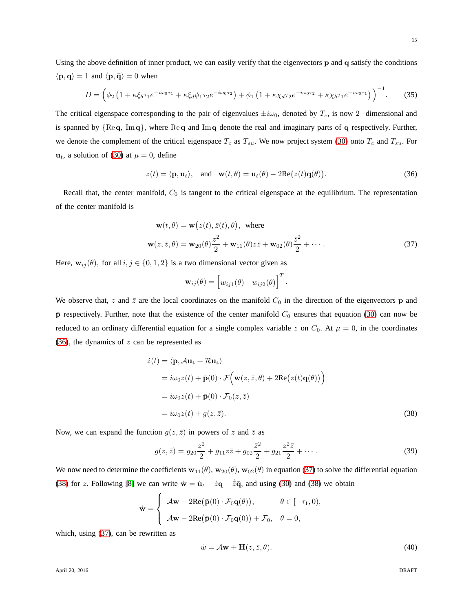Using the above definition of inner product, we can easily verify that the eigenvectors p and q satisfy the conditions  $\langle \mathbf{p}, \mathbf{q} \rangle = 1$  and  $\langle \mathbf{p}, \mathbf{\bar{q}} \rangle = 0$  when

$$
D = \left(\phi_2 \left(1 + \kappa \xi_b \tau_1 e^{-i\omega_0 \tau_1} + \kappa \xi_d \phi_1 \tau_2 e^{-i\omega_0 \tau_2}\right) + \phi_1 \left(1 + \kappa \chi_d \tau_2 e^{-i\omega_0 \tau_2} + \kappa \chi_b \tau_1 e^{-i\omega_0 \tau_1}\right)\right)^{-1}.\tag{35}
$$

The critical eigenspace corresponding to the pair of eigenvalues  $\pm i\omega_0$ , denoted by T<sub>c</sub>, is now 2−dimensional and is spanned by  ${Req, Imq}$ , where  ${Req}$  and  ${Imq}$  denote the real and imaginary parts of q respectively. Further, we denote the complement of the critical eigenspace  $T_c$  as  $T_{su}$ . We now project system [\(30\)](#page-12-1) onto  $T_c$  and  $T_{su}$ . For  $u_t$ , a solution of [\(30\)](#page-12-1) at  $\mu = 0$ , define

$$
z(t) = \langle \mathbf{p}, \mathbf{u}_t \rangle, \quad \text{and} \quad \mathbf{w}(t, \theta) = \mathbf{u}_t(\theta) - 2\mathrm{Re}\big(z(t)\mathbf{q}(\theta)\big). \tag{36}
$$

Recall that, the center manifold,  $C_0$  is tangent to the critical eigenspace at the equilibrium. The representation of the center manifold is

$$
\mathbf{w}(t,\theta) = \mathbf{w}(z(t),\bar{z}(t),\theta), \text{ where}
$$
  

$$
\mathbf{w}(z,\bar{z},\theta) = \mathbf{w}_{20}(\theta)\frac{z^2}{2} + \mathbf{w}_{11}(\theta)z\bar{z} + \mathbf{w}_{02}(\theta)\frac{\bar{z}^2}{2} + \cdots
$$
 (37)

Here,  $w_{ij}(\theta)$ , for all  $i, j \in \{0, 1, 2\}$  is a two dimensional vector given as

<span id="page-14-1"></span><span id="page-14-0"></span>
$$
\mathbf{w}_{ij}(\theta) = \begin{bmatrix} w_{ij1}(\theta) & w_{ij2}(\theta) \end{bmatrix}^T.
$$

We observe that, z and  $\bar{z}$  are the local coordinates on the manifold  $C_0$  in the direction of the eigenvectors **p** and  $\bar{p}$  respectively. Further, note that the existence of the center manifold  $C_0$  ensures that equation [\(30\)](#page-12-1) can now be reduced to an ordinary differential equation for a single complex variable z on  $C_0$ . At  $\mu = 0$ , in the coordinates [\(36\)](#page-14-0), the dynamics of  $z$  can be represented as

$$
\dot{z}(t) = \langle \mathbf{p}, A\mathbf{u_t} + R\mathbf{u_t} \rangle
$$
  
=  $i\omega_0 z(t) + \bar{\mathbf{p}}(0) \cdot \mathcal{F} \Big( \mathbf{w}(z, \bar{z}, \theta) + 2\mathrm{Re}(z(t)\mathbf{q}(\theta)) \Big)$   
=  $i\omega_0 z(t) + \bar{\mathbf{p}}(0) \cdot \mathcal{F}_0(z, \bar{z})$   
=  $i\omega_0 z(t) + g(z, \bar{z}).$  (38)

Now, we can expand the function  $g(z, \bar{z})$  in powers of z and  $\bar{z}$  as

$$
g(z,\bar{z}) = g_{20}\frac{z^2}{2} + g_{11}z\bar{z} + g_{02}\frac{\bar{z}^2}{2} + g_{21}\frac{z^2\bar{z}}{2} + \cdots
$$
 (39)

We now need to determine the coefficients  $w_{11}(\theta)$ ,  $w_{20}(\theta)$ ,  $w_{02}(\theta)$  in equation [\(37\)](#page-14-1) to solve the differential equation [\(38\)](#page-14-2) for z. Following [\[8\]](#page-22-11) we can write  $\dot{\mathbf{w}} = \dot{\mathbf{u}}_t - \dot{z}\mathbf{q} - \dot{\overline{z}}\mathbf{\overline{q}}$ , and using [\(30\)](#page-12-1) and [\(38\)](#page-14-2) we obtain

$$
\dot{\mathbf{w}} = \begin{cases} A\mathbf{w} - 2\mathrm{Re}(\bar{\mathbf{p}}(0) \cdot \mathcal{F}_0 \mathbf{q}(\theta)), & \theta \in [-\tau_1, 0), \\ A\mathbf{w} - 2\mathrm{Re}(\bar{\mathbf{p}}(0) \cdot \mathcal{F}_0 \mathbf{q}(0)) + \mathcal{F}_0, & \theta = 0, \end{cases}
$$

which, using  $(37)$ , can be rewritten as

<span id="page-14-2"></span>
$$
\dot{w} = A\mathbf{w} + \mathbf{H}(z, \bar{z}, \theta). \tag{40}
$$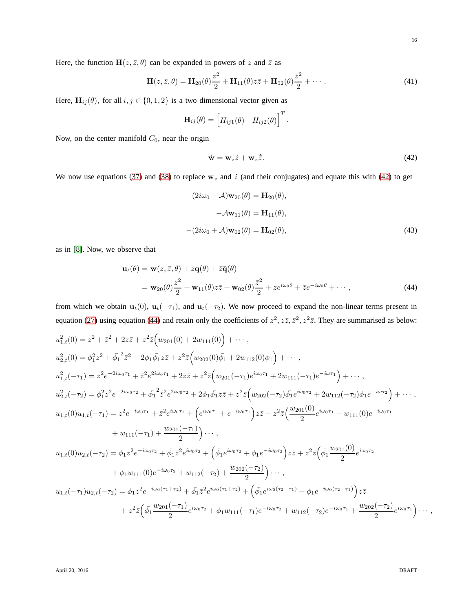Here, the function  $H(z, \bar{z}, \theta)$  can be expanded in powers of z and  $\bar{z}$  as

<span id="page-15-2"></span>
$$
\mathbf{H}(z,\bar{z},\theta) = \mathbf{H}_{20}(\theta)\frac{z^2}{2} + \mathbf{H}_{11}(\theta)z\bar{z} + \mathbf{H}_{02}(\theta)\frac{\bar{z}^2}{2} + \cdots
$$
 (41)

<span id="page-15-3"></span><span id="page-15-1"></span>.

Here,  $\mathbf{H}_{ij}(\theta)$ , for all  $i, j \in \{0, 1, 2\}$  is a two dimensional vector given as

$$
\mathbf{H}_{ij}(\theta) = \begin{bmatrix} H_{ij1}(\theta) & H_{ij2}(\theta) \end{bmatrix}^T
$$

Now, on the center manifold  $C_0$ , near the origin

<span id="page-15-0"></span>
$$
\dot{\mathbf{w}} = \mathbf{w}_z \dot{z} + \mathbf{w}_{\bar{z}} \dot{\bar{z}}.
$$
 (42)

We now use equations [\(37\)](#page-14-1) and [\(38\)](#page-14-2) to replace  $w_z$  and  $\dot{z}$  (and their conjugates) and equate this with [\(42\)](#page-15-0) to get

$$
(2i\omega_0 - \mathcal{A})\mathbf{w}_{20}(\theta) = \mathbf{H}_{20}(\theta),
$$

$$
-\mathcal{A}\mathbf{w}_{11}(\theta) = \mathbf{H}_{11}(\theta),
$$

$$
-(2i\omega_0 + \mathcal{A})\mathbf{w}_{02}(\theta) = \mathbf{H}_{02}(\theta),
$$
(43)

as in [\[8\]](#page-22-11). Now, we observe that

$$
\mathbf{u}_t(\theta) = \mathbf{w}(z, \bar{z}, \theta) + z\mathbf{q}(\theta) + \bar{z}\bar{\mathbf{q}}(\theta)
$$
  
=  $\mathbf{w}_{20}(\theta)\frac{z^2}{2} + \mathbf{w}_{11}(\theta)z\bar{z} + \mathbf{w}_{02}(\theta)\frac{\bar{z}^2}{2} + ze^{i\omega_0\theta} + \bar{z}e^{-i\omega_0\theta} + \cdots,$  (44)

from which we obtain  $\mathbf{u}_t(0)$ ,  $\mathbf{u}_t(-\tau_1)$ , and  $\mathbf{u}_t(-\tau_2)$ . We now proceed to expand the non-linear terms present in equation [\(27\)](#page-11-0) using equation [\(44\)](#page-15-1) and retain only the coefficients of  $z^2, z\overline{z}, \overline{z}^2, z^2\overline{z}$ . They are summarised as below:

$$
u_{1,t}^{2}(0) = z^{2} + \bar{z}^{2} + 2z\bar{z} + z^{2}\bar{z} \Big(w_{201}(0) + 2w_{111}(0)\Big) + \cdots,
$$
  
\n
$$
u_{2,t}^{2}(0) = \phi_{1}^{2}z^{2} + \bar{\phi}_{1}^{2}\bar{z}^{2} + 2\phi_{1}\bar{\phi}_{1}z\bar{z} + z^{2}\bar{z} \Big(w_{202}(0)\bar{\phi}_{1} + 2w_{112}(0)\phi_{1}\Big) + \cdots,
$$
  
\n
$$
u_{1,t}^{2}(-\tau_{1}) = z^{2}e^{-2i\omega_{0}\tau_{1}} + \bar{z}^{2}e^{2i\omega_{0}\tau_{1}} + 2z\bar{z} + z^{2}\bar{z} \Big(w_{201}(-\tau_{1})e^{i\omega_{0}\tau_{1}} + 2w_{111}(-\tau_{1})e^{-i\omega\tau_{1}}\Big) + \cdots,
$$
  
\n
$$
u_{2,t}^{2}(-\tau_{2}) = \phi_{1}^{2}z^{2}e^{-2i\omega_{0}\tau_{2}} + \bar{\phi}_{1}^{2}\bar{z}^{2}e^{2i\omega_{0}\tau_{2}} + 2\phi_{1}\bar{\phi}_{1}z\bar{z} + z^{2}\bar{z} \Big(w_{202}(-\tau_{2})\bar{\phi}_{1}e^{i\omega_{0}\tau_{2}} + 2w_{112}(-\tau_{2})\phi_{1}e^{-i\omega\tau_{2}}\Big) + \cdots,
$$
  
\n
$$
u_{1,t}(0)u_{1,t}(-\tau_{1}) = z^{2}e^{-i\omega_{0}\tau_{1}} + \bar{z}^{2}e^{i\omega_{0}\tau_{1}} + \Big(e^{i\omega_{0}\tau_{1}} + e^{-i\omega_{0}\tau_{1}}\Big)z\bar{z} + z^{2}\bar{z}\Big(\frac{w_{201}(0)}{2}e^{i\omega_{0}\tau_{1}} + w_{111}(0)e^{-i\omega_{0}\tau_{1}} + w_{111}(-\tau_{1}) + \frac{w_{201}(-\tau_{1})}{2}\Big) \cdots,
$$
  
\n
$$
u_{1,t}(0)u_{2,t}(-\tau_{2}) = \phi_{1}z^{2}e^{-i\omega_{0}\tau
$$

April 20, 2016 DRAFT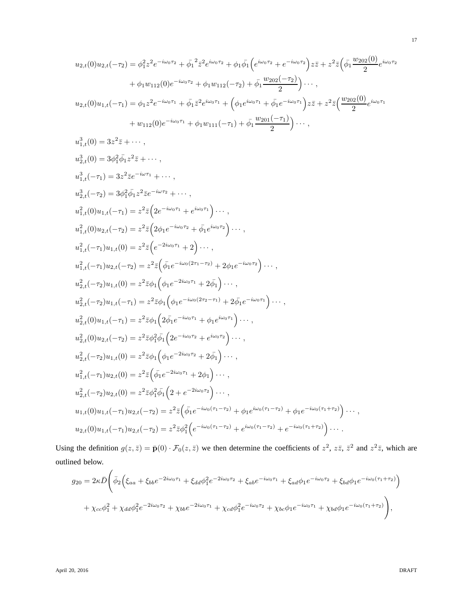$$
u_{2,t}(0)u_{2,t}(-\tau_2) = \phi_1^2 z^2 e^{-i\omega_0 \tau_2} + \bar{\phi}_1^2 \bar{z}^2 e^{i\omega_0 \tau_2} + \phi_1 \bar{\phi}_1 \Big( e^{i\omega_0 \tau_2} + e^{-i\omega_0 \tau_2} \Big) z\bar{z} + z^2 \bar{z} \Big( \bar{\phi}_1 \frac{w_{202}(0)}{2} e^{i\omega_0 \tau_2} + \phi_1 w_{112}(0) e^{-i\omega_0 \tau_2} + \phi_1 w_{112}(-\tau_2) + \bar{\phi}_1 \frac{w_{202}(-\tau_2)}{2} \Big) \cdots ,
$$
  
\n
$$
u_{2,t}(0)u_{1,t}(-\tau_1) = \phi_1 z^2 e^{-i\omega_0 \tau_1} + \bar{\phi}_1 \bar{z}^2 e^{i\omega_0 \tau_1} + \Big( \phi_1 e^{i\omega_0 \tau_1} + \bar{\phi}_1 e^{-i\omega_0 \tau_1} \Big) z\bar{z} + z^2 \bar{z} \Big( \frac{w_{202}(0)}{2} e^{i\omega_0 \tau_1} + w_{112}(0) e^{-i\omega_0 \tau_1} + \phi_1 w_{111}(-\tau_1) + \bar{\phi}_1 \frac{w_{201}(-\tau_1)}{2} \Big) \cdots ,
$$
  
\n
$$
u_{1,t}^3(0) = 3z^2 \bar{z} + \cdots ,
$$
  
\n
$$
u_{2,t}^3(0) = 3\phi_1^2 \bar{\phi}_1 z^2 \bar{z} e^{-i\omega \tau_1} + \cdots ,
$$
  
\n
$$
u_{2,t}^3(-\tau_1) = 3z^2 \bar{z} e^{-i\omega \tau_1} + \cdots ,
$$
  
\n
$$
u_{1,t}^2(0)u_{1,t}(-\tau_1) = z^2 \bar{z} \Big( 2e^{-i\omega_0 \tau_1} + e^{i\omega_0 \tau_1} \Big) \cdots ,
$$
  
\n
$$
u_{1,t}^2(0)u_{2,t}(-\tau_2) = z^2 \bar{z} \Big( 2\phi_1 e^{-i\omega_0 \tau_
$$

$$
u_{1,t}^{2}(-\tau_{1})u_{2,t}(-\tau_{2}) = z^{2}\bar{z}\left(\bar{\phi}_{1}e^{-i\omega_{0}(2\tau_{1}-\tau_{2})}+2\phi_{1}e^{-i\omega_{0}\tau_{2}}\right)\cdots,
$$
  
\n
$$
u_{2,t}^{2}(-\tau_{2})u_{1,t}(0) = z^{2}\bar{z}\phi_{1}\left(\phi_{1}e^{-2i\omega_{0}\tau_{1}}+2\bar{\phi}_{1}\right)\cdots,
$$
  
\n
$$
u_{2,t}^{2}(-\tau_{2})u_{1,t}(-\tau_{1}) = z^{2}\bar{z}\phi_{1}\left(\phi_{1}e^{-i\omega_{0}(2\tau_{2}-\tau_{1})}+2\bar{\phi}_{1}e^{-i\omega_{0}\tau_{1}}\right)\cdots,
$$
  
\n
$$
u_{2,t}^{2}(0)u_{1,t}(-\tau_{1}) = z^{2}\bar{z}\phi_{1}\left(2\bar{\phi}_{1}e^{-i\omega_{0}\tau_{1}}+\phi_{1}e^{i\omega_{0}\tau_{1}}\right)\cdots,
$$
  
\n
$$
u_{2,t}^{2}(0)u_{2,t}(-\tau_{2}) = z^{2}\bar{z}\phi_{1}^{2}\bar{\phi}_{1}\left(2e^{-i\omega_{0}\tau_{2}}+e^{i\omega_{0}\tau_{2}}\right)\cdots,
$$
  
\n
$$
u_{2,t}^{2}(-\tau_{2})u_{1,t}(0) = z^{2}\bar{z}\phi_{1}\left(\phi_{1}e^{-2i\omega_{0}\tau_{2}}+2\bar{\phi}_{1}\right)\cdots,
$$
  
\n
$$
u_{1,t}^{2}(-\tau_{1})u_{2,t}(0) = z^{2}\bar{z}\left(\bar{\phi}_{1}e^{-2i\omega_{0}\tau_{1}}+2\phi_{1}\right)\cdots,
$$
  
\n
$$
u_{2,t}^{2}(-\tau_{2})u_{2,t}(0) = z^{2}\bar{z}\phi_{1}^{2}\bar{\phi}_{1}\left(2+e^{-2i\omega_{0}\tau_{2}}\right)\cdots,
$$
  
\n
$$
u_{1,t}(0)u_{1,t}(-\tau_{1})u_{2,t}(-\tau_{2}) = z^{2}\bar{z}\left(\bar{\phi}_{1}e^{-i\omega_{0}(\tau_{1}-\tau_{2})}+\phi_{1}e^{i\
$$

Using the definition  $g(z, \bar{z}) = \bar{p}(0) \cdot \mathcal{F}_0(z, \bar{z})$  we then determine the coefficients of  $z^2$ ,  $z\bar{z}$ ,  $\bar{z}^2$  and  $z^2\bar{z}$ , which are outlined below.

$$
g_{20} = 2\kappa \bar{D} \left( \bar{\phi}_2 \left( \xi_{aa} + \xi_{bb} e^{-2i\omega_0 \tau_1} + \xi_{dd} \phi_1^2 e^{-2i\omega_0 \tau_2} + \xi_{ab} e^{-i\omega_0 \tau_1} + \xi_{ad} \phi_1 e^{-i\omega_0 \tau_2} + \xi_{bd} \phi_1 e^{-i\omega_0 (\tau_1 + \tau_2)} \right) \right)
$$

$$
+ \chi_{cc} \phi_1^2 + \chi_{dd} \phi_1^2 e^{-2i\omega_0 \tau_2} + \chi_{bb} e^{-2i\omega_0 \tau_1} + \chi_{cd} \phi_1^2 e^{-i\omega_0 \tau_2} + \chi_{bc} \phi_1 e^{-i\omega_0 \tau_1} + \chi_{bd} \phi_1 e^{-i\omega_0 (\tau_1 + \tau_2)} \right),
$$

 $\,$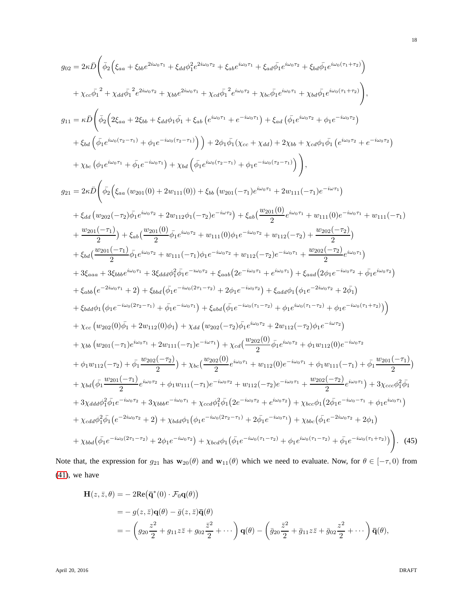$$
g_{02} = 2\kappa D \left( \bar{\phi}_2 \left( \xi_{aa} + \xi_{bb}e^{2i\omega_0\tau_1} + \xi_{dd}\phi_1^2 e^{2i\omega_0\tau_2} + \xi_{ab}e^{i\omega_0\tau_1} + \xi_{ad}\bar{\phi}_1 e^{i\omega_0\tau_2} + \xi_{bd}\bar{\phi}_1 e^{i\omega_0\tau_1} + \xi_{bd}\bar{\phi}_1 e^{i\omega_0\tau_1} + \xi_{bd}\bar{\phi}_1 e^{i\omega_0\tau_1} + \xi_{bd}\bar{\phi}_1 e^{i\omega_0\tau_1} + \xi_{bd}\bar{\phi}_1 e^{i\omega_0\tau_1} + \xi_{bd}\bar{\phi}_1 e^{i\omega_0\tau_1} + \xi_{bd}\bar{\phi}_1 e^{i\omega_0\tau_1} + \xi_{bd}\bar{\phi}_1 e^{i\omega_0\tau_1} + \xi_{bd}\bar{\phi}_1 e^{i\omega_0\tau_1} + \xi_{bd}\bar{\phi}_1 e^{i\omega_0\tau_1} + \xi_{bd}\bar{\phi}_1 e^{i\omega_0\tau_1} + \xi_{bd}\bar{\phi}_1 e^{i\omega_0\tau_1} + \xi_{bd}\bar{\phi}_1 e^{i\omega_0\tau_1} + \xi_{bd}\bar{\phi}_1 e^{i\omega_0\tau_1} + \xi_{bd}\bar{\phi}_1 e^{i\omega_0\tau_1} + \xi_{bd}\bar{\phi}_1 e^{i\omega_0\tau_1} + \xi_{bd}\bar{\phi}_1 e^{i\omega_0\tau_1} + \xi_{bd}\bar{\phi}_1 e^{i\omega_0\tau_1} + \xi_{bd}\bar{\phi}_1 e^{i\omega_0\tau_1} + \xi_{bd}\bar{\phi}_1 e^{i\omega_0\tau_1} + \xi_{bd}\bar{\phi}_1 e^{i\omega_0\tau_1} + \xi_{bd}\bar{\phi}_1 e^{i\omega_0\tau_1} + \xi_{bd}\bar{\phi}_1 e^{i\omega_0\tau_1} + \xi_{bd}\bar{\phi}_1 e^{i\omega_0\tau_1} + 2\pi\mu_{11}(-\tau_1)e^{-i\omega_1\tau_1} \right)
$$
\n
$$
+ \chi_{bc} \left( \phi_1 e^{i\omega_0\tau_1} + \bar{\phi}_1 e^{-i\omega_0\tau_1} + 2\mu_{111}
$$

Note that, the expression for  $g_{21}$  has  $w_{20}(\theta)$  and  $w_{11}(\theta)$  which we need to evaluate. Now, for  $\theta \in [-\tau, 0)$  from [\(41\)](#page-15-2), we have

$$
\begin{split} \mathbf{H}(z,\bar{z},\theta) &= -2\mathrm{Re}\big(\bar{\mathbf{q}}^*(0)\cdot\mathcal{F}_0\mathbf{q}(\theta)\big) \\ &= -g(z,\bar{z})\mathbf{q}(\theta) - \bar{g}(z,\bar{z})\bar{\mathbf{q}}(\theta) \\ &= -\left(g_{20}\frac{z^2}{2} + g_{11}z\bar{z} + g_{02}\frac{\bar{z}^2}{2} + \cdots\right)\mathbf{q}(\theta) - \left(\bar{g}_{20}\frac{\bar{z}^2}{2} + \bar{g}_{11}z\bar{z} + \bar{g}_{02}\frac{z^2}{2} + \cdots\right)\bar{\mathbf{q}}(\theta), \end{split}
$$

April 20, 2016 DRAFT

18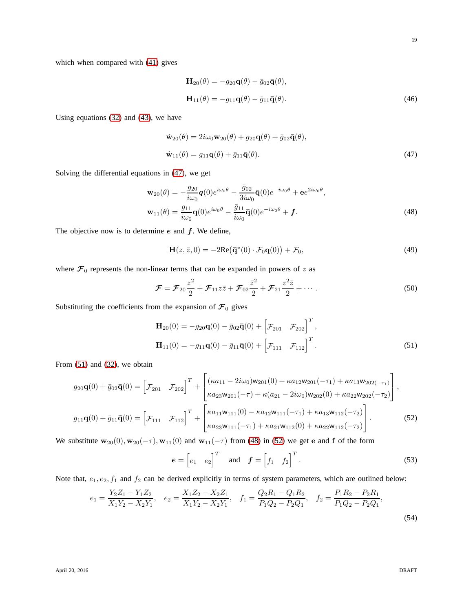which when compared with [\(41\)](#page-15-2) gives

<span id="page-18-0"></span>
$$
\mathbf{H}_{20}(\theta) = -g_{20}\mathbf{q}(\theta) - \bar{g}_{02}\bar{\mathbf{q}}(\theta),
$$
  

$$
\mathbf{H}_{11}(\theta) = -g_{11}\mathbf{q}(\theta) - \bar{g}_{11}\bar{\mathbf{q}}(\theta).
$$
 (46)

Using equations [\(32\)](#page-13-1) and [\(43\)](#page-15-3), we have

$$
\dot{\mathbf{w}}_{20}(\theta) = 2i\omega_0 \mathbf{w}_{20}(\theta) + g_{20}\mathbf{q}(\theta) + \bar{g}_{02}\bar{\mathbf{q}}(\theta),
$$
  

$$
\dot{\mathbf{w}}_{11}(\theta) = g_{11}\mathbf{q}(\theta) + \bar{g}_{11}\bar{\mathbf{q}}(\theta).
$$
 (47)

Solving the differential equations in [\(47\)](#page-18-0), we get

$$
\mathbf{w}_{20}(\theta) = -\frac{g_{20}}{i\omega_0}\mathbf{q}(0)e^{i\omega_0\theta} - \frac{\bar{g}_{02}}{3i\omega_0}\bar{\mathbf{q}}(0)e^{-i\omega_0\theta} + \mathbf{e}e^{2i\omega_0\theta},
$$
  

$$
\mathbf{w}_{11}(\theta) = \frac{g_{11}}{i\omega_0}\mathbf{q}(0)e^{i\omega_0\theta} - \frac{\bar{g}_{11}}{i\omega_0}\bar{\mathbf{q}}(0)e^{-i\omega_0\theta} + \mathbf{f}.
$$
 (48)

The objective now is to determine  $e$  and  $f$ . We define,

<span id="page-18-2"></span>
$$
\mathbf{H}(z,\bar{z},0) = -2\mathrm{Re}\big(\bar{\mathbf{q}}^*(0)\cdot\mathcal{F}_0\mathbf{q}(0)\big) + \mathcal{F}_0,\tag{49}
$$

where  $\mathcal{F}_0$  represents the non-linear terms that can be expanded in powers of z as

$$
\mathcal{F} = \mathcal{F}_{20} \frac{z^2}{2} + \mathcal{F}_{11} z \bar{z} + \mathcal{F}_{02} \frac{\bar{z}^2}{2} + \mathcal{F}_{21} \frac{z^2 \bar{z}}{2} + \cdots
$$
 (50)

Substituting the coefficients from the expansion of  $\mathcal{F}_0$  gives

<span id="page-18-1"></span>
$$
\mathbf{H}_{20}(0) = -g_{20}\mathbf{q}(0) - \bar{g}_{02}\bar{\mathbf{q}}(0) + \begin{bmatrix} \mathcal{F}_{201} & \mathcal{F}_{202} \end{bmatrix}^T,
$$
  
\n
$$
\mathbf{H}_{11}(0) = -g_{11}\mathbf{q}(0) - \bar{g}_{11}\bar{\mathbf{q}}(0) + \begin{bmatrix} \mathcal{F}_{111} & \mathcal{F}_{112} \end{bmatrix}^T.
$$
\n(51)

From [\(51\)](#page-18-1) and [\(32\)](#page-13-1), we obtain

$$
g_{20}\mathbf{q}(0) + \bar{g}_{02}\bar{\mathbf{q}}(0) = \begin{bmatrix} \mathcal{F}_{201} & \mathcal{F}_{202} \end{bmatrix}^T + \begin{bmatrix} (\kappa a_{11} - 2i\omega_0)w_{201}(0) + \kappa a_{12}w_{201}(-\tau_1) + \kappa a_{13}w_{202}(-\tau_1) \\ \kappa a_{23}w_{201}(-\tau) + \kappa (a_{21} - 2i\omega_0)w_{202}(0) + \kappa a_{22}w_{202}(-\tau_2) \end{bmatrix},
$$
  
\n
$$
g_{11}\mathbf{q}(0) + \bar{g}_{11}\bar{\mathbf{q}}(0) = \begin{bmatrix} \mathcal{F}_{111} & \mathcal{F}_{112} \end{bmatrix}^T + \begin{bmatrix} \kappa a_{11}w_{111}(0) - \kappa a_{12}w_{111}(-\tau_1) + \kappa a_{13}w_{112}(-\tau_2) \\ \kappa a_{23}w_{111}(-\tau_1) + \kappa a_{21}w_{112}(0) + \kappa a_{22}w_{112}(-\tau_2) \end{bmatrix}.
$$
 (52)

We substitute  $\mathbf{w}_{20}(0), \mathbf{w}_{20}(-\tau), \mathbf{w}_{11}(0)$  and  $\mathbf{w}_{11}(-\tau)$  from [\(48\)](#page-18-2) in [\(52\)](#page-18-3) we get e and f of the form

<span id="page-18-3"></span>
$$
\boldsymbol{e} = \begin{bmatrix} e_1 & e_2 \end{bmatrix}^T \quad \text{and} \quad \boldsymbol{f} = \begin{bmatrix} f_1 & f_2 \end{bmatrix}^T. \tag{53}
$$

Note that,  $e_1, e_2, f_1$  and  $f_2$  can be derived explicitly in terms of system parameters, which are outlined below:

$$
e_1 = \frac{Y_2 Z_1 - Y_1 Z_2}{X_1 Y_2 - X_2 Y_1}, \quad e_2 = \frac{X_1 Z_2 - X_2 Z_1}{X_1 Y_2 - X_2 Y_1}, \quad f_1 = \frac{Q_2 R_1 - Q_1 R_2}{P_1 Q_2 - P_2 Q_1}, \quad f_2 = \frac{P_1 R_2 - P_2 R_1}{P_1 Q_2 - P_2 Q_1},\tag{54}
$$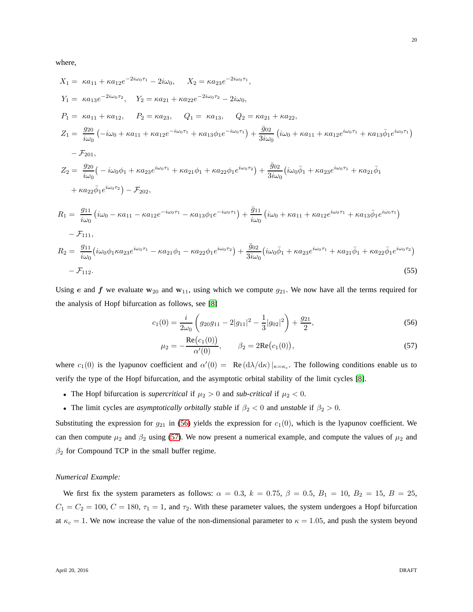where,

$$
X_{1} = \kappa a_{11} + \kappa a_{12}e^{-2i\omega_{0}\tau_{1}} - 2i\omega_{0}, \quad X_{2} = \kappa a_{23}e^{-2i\omega_{0}\tau_{1}},
$$
\n
$$
Y_{1} = \kappa a_{13}e^{-2i\omega_{0}\tau_{2}}, \quad Y_{2} = \kappa a_{21} + \kappa a_{22}e^{-2i\omega_{0}\tau_{2}} - 2i\omega_{0},
$$
\n
$$
P_{1} = \kappa a_{11} + \kappa a_{12}, \quad P_{2} = \kappa a_{23}, \quad Q_{1} = \kappa a_{13}, \quad Q_{2} = \kappa a_{21} + \kappa a_{22},
$$
\n
$$
Z_{1} = \frac{g_{20}}{i\omega_{0}} \left( -i\omega_{0} + \kappa a_{11} + \kappa a_{12}e^{-i\omega_{0}\tau_{1}} + \kappa a_{13}\phi_{1}e^{-i\omega_{0}\tau_{1}} \right) + \frac{\bar{g}_{02}}{3i\omega_{0}} \left( i\omega_{0} + \kappa a_{11} + \kappa a_{12}e^{i\omega_{0}\tau_{1}} + \kappa a_{13}\bar{\phi}_{1}e^{i\omega_{0}\tau_{1}} \right)
$$
\n
$$
- \mathcal{F}_{201},
$$
\n
$$
Z_{2} = \frac{g_{20}}{i\omega_{0}} \left( -i\omega_{0}\phi_{1} + \kappa a_{23}e^{i\omega_{0}\tau_{1}} + \kappa a_{21}\phi_{1} + \kappa a_{22}\phi_{1}e^{i\omega_{0}\tau_{2}} \right) + \frac{\bar{g}_{02}}{3i\omega_{0}} \left( i\omega_{0}\bar{\phi}_{1} + \kappa a_{23}e^{i\omega_{0}\tau_{1}} + \kappa a_{21}\bar{\phi}_{1} + \kappa a_{22}\bar{\phi}_{1}e^{i\omega_{0}\tau_{2}} \right) - \mathcal{F}_{202},
$$
\n
$$
R_{1} = \frac{g_{11}}{i\omega_{0}} \left( i\omega_{0} - \kappa a_{11} - \kappa a_{12}e^{-i\omega_{0}\tau_{1}} - \kappa a_{13}\phi_{1}e^{-i\omega_{0}\tau_{1}} \right
$$

Using e and f we evaluate  $w_{20}$  and  $w_{11}$ , using which we compute  $g_{21}$ . We now have all the terms required for the analysis of Hopf bifurcation as follows, see [\[8\]](#page-22-11)

$$
c_1(0) = \frac{i}{2\omega_0} \left( g_{20}g_{11} - 2|g_{11}|^2 - \frac{1}{3}|g_{02}|^2 \right) + \frac{g_{21}}{2},\tag{56}
$$

<span id="page-19-1"></span><span id="page-19-0"></span>
$$
\mu_2 = -\frac{\text{Re}(c_1(0))}{\alpha'(0)}, \qquad \beta_2 = 2\text{Re}(c_1(0)), \tag{57}
$$

where  $c_1(0)$  is the lyapunov coefficient and  $\alpha'(0) = \text{Re}(\frac{d\lambda}{d\kappa})|_{\kappa = \kappa_c}$ . The following conditions enable us to verify the type of the Hopf bifurcation, and the asymptotic orbital stability of the limit cycles [\[8\]](#page-22-11).

- The Hopf bifurcation is *supercritical* if  $\mu_2 > 0$  and *sub-critical* if  $\mu_2 < 0$ .
- The limit cycles are *asymptotically orbitally stable* if  $\beta_2 < 0$  and *unstable* if  $\beta_2 > 0$ .

Substituting the expression for  $g_{21}$  in [\(56\)](#page-19-0) yields the expression for  $c_1(0)$ , which is the lyapunov coefficient. We can then compute  $\mu_2$  and  $\beta_2$  using [\(57\)](#page-19-1). We now present a numerical example, and compute the values of  $\mu_2$  and  $\beta_2$  for Compound TCP in the small buffer regime.

### *Numerical Example:*

We first fix the system parameters as follows:  $\alpha = 0.3$ ,  $k = 0.75$ ,  $\beta = 0.5$ ,  $B_1 = 10$ ,  $B_2 = 15$ ,  $B = 25$ ,  $C_1 = C_2 = 100$ ,  $C = 180$ ,  $\tau_1 = 1$ , and  $\tau_2$ . With these parameter values, the system undergoes a Hopf bifurcation at  $\kappa_c = 1$ . We now increase the value of the non-dimensional parameter to  $\kappa = 1.05$ , and push the system beyond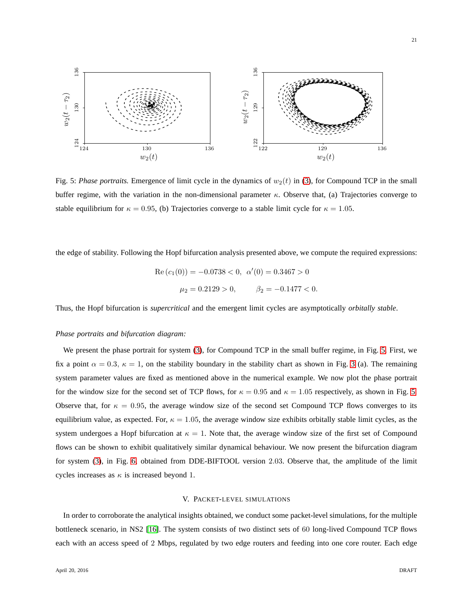<span id="page-20-1"></span>

Fig. 5: *Phase portraits*. Emergence of limit cycle in the dynamics of  $w_2(t)$  in [\(3\)](#page-3-2), for Compound TCP in the small buffer regime, with the variation in the non-dimensional parameter  $\kappa$ . Observe that, (a) Trajectories converge to stable equilibrium for  $\kappa = 0.95$ , (b) Trajectories converge to a stable limit cycle for  $\kappa = 1.05$ .

the edge of stability. Following the Hopf bifurcation analysis presented above, we compute the required expressions:

Re 
$$
(c_1(0)) = -0.0738 < 0
$$
,  $\alpha'(0) = 0.3467 > 0$   
 $\mu_2 = 0.2129 > 0$ ,  $\beta_2 = -0.1477 < 0$ .

Thus, the Hopf bifurcation is *supercritical* and the emergent limit cycles are asymptotically *orbitally stable*.

# *Phase portraits and bifurcation diagram:*

We present the phase portrait for system [\(3\)](#page-3-2), for Compound TCP in the small buffer regime, in Fig. [5.](#page-20-1) First, we fix a point  $\alpha = 0.3$ ,  $\kappa = 1$ , on the stability boundary in the stability chart as shown in Fig. [3](#page-9-0) (a). The remaining system parameter values are fixed as mentioned above in the numerical example. We now plot the phase portrait for the window size for the second set of TCP flows, for  $\kappa = 0.95$  and  $\kappa = 1.05$  respectively, as shown in Fig. [5.](#page-20-1) Observe that, for  $\kappa = 0.95$ , the average window size of the second set Compound TCP flows converges to its equilibrium value, as expected. For,  $\kappa = 1.05$ , the average window size exhibits orbitally stable limit cycles, as the system undergoes a Hopf bifurcation at  $\kappa = 1$ . Note that, the average window size of the first set of Compound flows can be shown to exhibit qualitatively similar dynamical behaviour. We now present the bifurcation diagram for system [\(3\)](#page-3-2), in Fig. [6,](#page-21-0) obtained from DDE-BIFTOOL version 2.03. Observe that, the amplitude of the limit cycles increases as  $\kappa$  is increased beyond 1.

#### V. PACKET-LEVEL SIMULATIONS

<span id="page-20-0"></span>In order to corroborate the analytical insights obtained, we conduct some packet-level simulations, for the multiple bottleneck scenario, in NS2 [\[16\]](#page-23-1). The system consists of two distinct sets of 60 long-lived Compound TCP flows each with an access speed of 2 Mbps, regulated by two edge routers and feeding into one core router. Each edge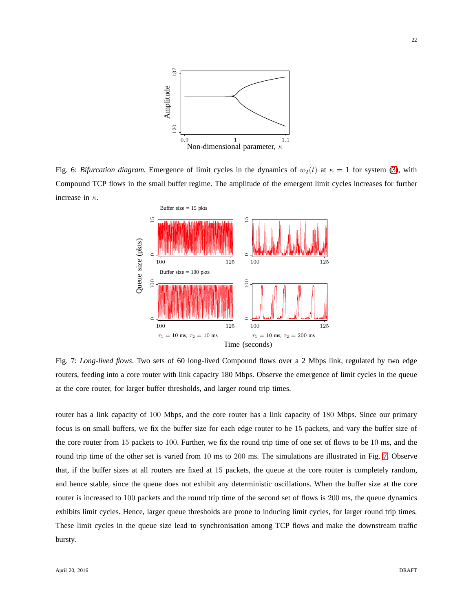<span id="page-21-0"></span>

<span id="page-21-1"></span>Fig. 6: *Bifurcation diagram*. Emergence of limit cycles in the dynamics of  $w_2(t)$  at  $\kappa = 1$  for system [\(3\)](#page-3-2), with Compound TCP flows in the small buffer regime. The amplitude of the emergent limit cycles increases for further increase in  $\kappa$ .



Fig. 7: *Long-lived flows*. Two sets of 60 long-lived Compound flows over a 2 Mbps link, regulated by two edge routers, feeding into a core router with link capacity 180 Mbps. Observe the emergence of limit cycles in the queue at the core router, for larger buffer thresholds, and larger round trip times.

router has a link capacity of 100 Mbps, and the core router has a link capacity of 180 Mbps. Since our primary focus is on small buffers, we fix the buffer size for each edge router to be 15 packets, and vary the buffer size of the core router from 15 packets to 100. Further, we fix the round trip time of one set of flows to be 10 ms, and the round trip time of the other set is varied from 10 ms to 200 ms. The simulations are illustrated in Fig. [7.](#page-21-1) Observe that, if the buffer sizes at all routers are fixed at 15 packets, the queue at the core router is completely random, and hence stable, since the queue does not exhibit any deterministic oscillations. When the buffer size at the core router is increased to 100 packets and the round trip time of the second set of flows is 200 ms, the queue dynamics exhibits limit cycles. Hence, larger queue thresholds are prone to inducing limit cycles, for larger round trip times. These limit cycles in the queue size lead to synchronisation among TCP flows and make the downstream traffic bursty.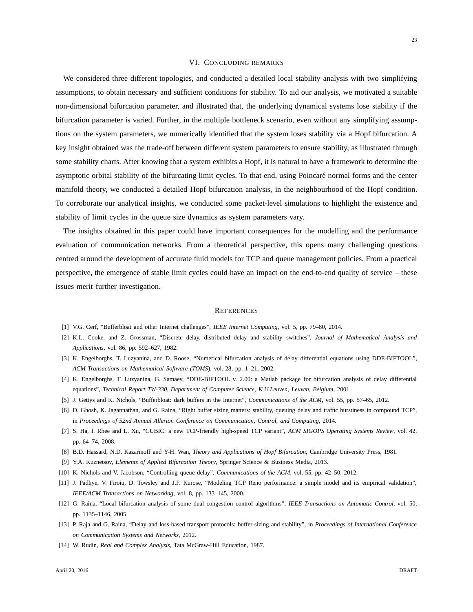#### VI. CONCLUDING REMARKS

<span id="page-22-8"></span>We considered three different topologies, and conducted a detailed local stability analysis with two simplifying assumptions, to obtain necessary and sufficient conditions for stability. To aid our analysis, we motivated a suitable non-dimensional bifurcation parameter, and illustrated that, the underlying dynamical systems lose stability if the bifurcation parameter is varied. Further, in the multiple bottleneck scenario, even without any simplifying assumptions on the system parameters, we numerically identified that the system loses stability via a Hopf bifurcation. A key insight obtained was the trade-off between different system parameters to ensure stability, as illustrated through some stability charts. After knowing that a system exhibits a Hopf, it is natural to have a framework to determine the asymptotic orbital stability of the bifurcating limit cycles. To that end, using Poincaré normal forms and the center manifold theory, we conducted a detailed Hopf bifurcation analysis, in the neighbourhood of the Hopf condition. To corroborate our analytical insights, we conducted some packet-level simulations to highlight the existence and stability of limit cycles in the queue size dynamics as system parameters vary.

The insights obtained in this paper could have important consequences for the modelling and the performance evaluation of communication networks. From a theoretical perspective, this opens many challenging questions centred around the development of accurate fluid models for TCP and queue management policies. From a practical perspective, the emergence of stable limit cycles could have an impact on the end-to-end quality of service – these issues merit further investigation.

## **REFERENCES**

- <span id="page-22-10"></span><span id="page-22-0"></span>[1] V.G. Cerf, "Bufferbloat and other Internet challenges", *IEEE Internet Computing*, vol. 5, pp. 79–80, 2014.
- <span id="page-22-6"></span>[2] K.L. Cooke, and Z. Grossman, "Discrete delay, distributed delay and stability switches", *Journal of Mathematical Analysis and Applications*, vol. 86, pp. 592–627, 1982.
- <span id="page-22-7"></span>[3] K. Engelborghs, T. Luzyanina, and D. Roose, "Numerical bifurcation analysis of delay differential equations using DDE-BIFTOOL", *ACM Transactions on Mathematical Software (TOMS*), vol. 28, pp. 1–21, 2002.
- <span id="page-22-1"></span>[4] K. Engelborghs, T. Luzyanina, G. Samaey, "DDE-BIFTOOL v. 2.00: a Matlab package for bifurcation analysis of delay differential equations", *Technical Report TW-330, Department of Computer Science, K.U.Leuven, Leuven, Belgium*, 2001.
- <span id="page-22-5"></span>[5] J. Gettys and K. Nichols, "Bufferbloat: dark buffers in the Internet", *Communications of the ACM*, vol. 55, pp. 57–65, 2012.
- <span id="page-22-3"></span>[6] D. Ghosh, K. Jagannathan, and G. Raina, "Right buffer sizing matters: stability, queuing delay and traffic burstiness in compound TCP", in *Proceedings of 52nd Annual Allerton Conference on Communication, Control, and Computing*, 2014.
- <span id="page-22-11"></span>[7] S. Ha, I. Rhee and L. Xu, "CUBIC: a new TCP-friendly high-speed TCP variant", *ACM SIGOPS Operating Systems Review*, vol. 42, pp. 64–74, 2008.
- <span id="page-22-12"></span>[8] B.D. Hassard, N.D. Kazarinoff and Y-H. Wan, *Theory and Applications of Hopf Bifurcation*, Cambridge University Press, 1981.
- <span id="page-22-2"></span>[9] Y.A. Kuznetsov, *Elements of Applied Bifurcation Theory*, Springer Science & Business Media, 2013.
- <span id="page-22-4"></span>[10] K. Nichols and V. Jacobson, "Controlling queue delay", *Communications of the ACM*, vol. 55, pp. 42–50, 2012.
- <span id="page-22-13"></span>[11] J. Padhye, V. Firoiu, D. Towsley and J.F. Kurose, "Modeling TCP Reno performance: a simple model and its empirical validation", *IEEE/ACM Transactions on Networking*, vol. 8, pp. 133–145, 2000.
- <span id="page-22-9"></span>[12] G. Raina, "Local bifurcation analysis of some dual congestion control algorithms", *IEEE Transactions on Automatic Control*, vol. 50, pp. 1135–1146, 2005.
- <span id="page-22-14"></span>[13] P. Raja and G. Raina, "Delay and loss-based transport protocols: buffer-sizing and stability", in *Proceedings of International Conference on Communication Systems and Networks*, 2012.
- [14] W. Rudin, *Real and Complex Analysis*, Tata McGraw-Hill Education, 1987.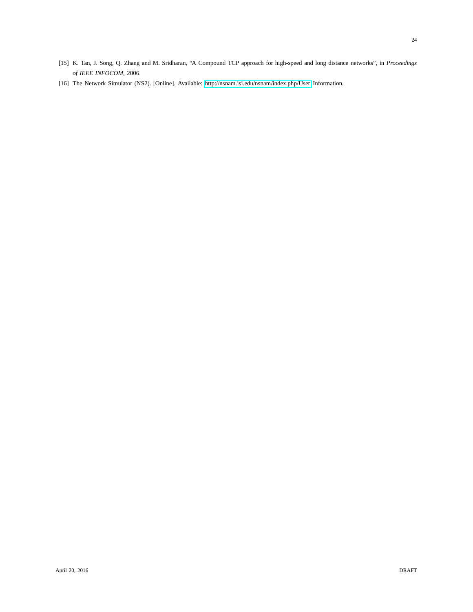<span id="page-23-1"></span><span id="page-23-0"></span>[16] The Network Simulator (NS2). [Online]. Available:<http://nsnam.isi.edu/nsnam/index.php/User> Information.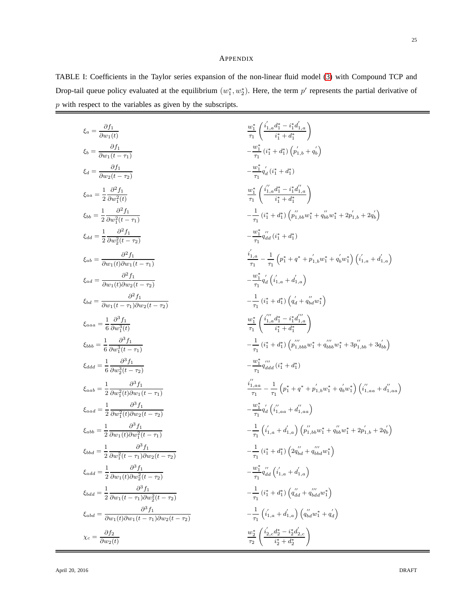# APPENDIX

<span id="page-24-0"></span>TABLE I: Coefficients in the Taylor series expansion of the non-linear fluid model [\(3\)](#page-3-2) with Compound TCP and Drop-tail queue policy evaluated at the equilibrium  $(w_1^*, w_2^*)$ . Here, the term  $p'$  represents the partial derivative of p with respect to the variables as given by the subscripts.

| $\xi_a = \frac{\partial f_1}{\partial w_1(t)}$                                                         | $\frac{w_1^*}{\tau_1} \left( \frac{i_{1,a}' d_1^* - i_1^* d_{1,a}'}{i_1^* + d_1^*} \right)$                                                                                       |
|--------------------------------------------------------------------------------------------------------|-----------------------------------------------------------------------------------------------------------------------------------------------------------------------------------|
| $\xi_b = \frac{\partial f_1}{\partial w_1(t-\tau_1)}$                                                  | $-\frac{w_1^*}{\sigma_1}(i_1^*+d_1^*)\left(p_{1,b}'+q_{b}'\right)$                                                                                                                |
| $\xi_d = \frac{\partial f_1}{\partial w_2(t-\tau_2)}$                                                  | $-\frac{w_1^*}{\pi}q'_d(i_1^*+d_1^*)$                                                                                                                                             |
| $\xi_{aa} = \frac{1}{2} \frac{\partial^2 f_1}{\partial w_i^2(t)}$                                      | $\frac{w_1^*}{\tau_1}\left(\frac{i_{1,a}''d_1^*-i_1^*d_{1,a}''}{i_1^*+d_1^*}\right)$                                                                                              |
| $\xi_{bb} = \frac{1}{2} \frac{\partial^2 f_1}{\partial w_1^2(t-\tau_1)}$                               | $-\frac{1}{\tau_{1}}(i_{1}^{*}+d_{1}^{*})\left(p_{1,bb}^{''}w_{1}^{*}+q_{bb}^{''}w_{1}^{*}+2p_{1,b}^{'}+2q_{b}^{'}\right)$                                                        |
| $\xi_{dd} = \frac{1}{2} \frac{\partial^2 f_1}{\partial w_0^2 (t - \tau_2)}$                            | $-\frac{w_1^*}{\tau_1}q''_{dd}$ $(i_1^* + d_1^*)$                                                                                                                                 |
| $\xi_{ab} = \frac{\partial^2 f_1}{\partial w_1(t)\partial w_1(t-\tau_1)}$                              | $\frac{i_{1,a}^{'}}{\tau_{1}}-\frac{1}{\tau_{1}}\left(p_{1}^{*}+q^{*}+\overset{\,\,{}_\circ}{p}_{1,b}^{'}w_{1}^{*}+q_{b}^{'}w_{1}^{*}\right)\left(i_{1,a}^{'}+d_{1,a}^{'}\right)$ |
| $\xi_{ad} = \frac{\partial^2 f_1}{\partial w_1(t)\partial w_2(t-\tau_2)}$                              | $-\frac{w_1^*}{\tau_1}q'_d\left(i'_{1,a}+d'_{1,a}\right)$                                                                                                                         |
| $\xi_{bd} = \frac{\partial^2 f_1}{\partial w_1(t-\tau_1)\partial w_2(t-\tau_2)}$                       | $-\frac{1}{\tau_1}(i_1^*+d_1^*)\left(q'_d+q''_{bd}w_1^*\right)$                                                                                                                   |
| $\xi_{aaa} = \frac{1}{6} \frac{\partial^3 f_1}{\partial w^3(t)}$                                       | $\frac{w_1^*}{\tau_1} \left( \frac{i''_1 a d_1^* - i_1^* d''_1}{i^* + d^*} \right)$                                                                                               |
| $\xi_{bbb} = \frac{1}{6} \frac{\partial^3 f_1}{\partial w^3(t - \tau)}$                                | $-\frac{1}{\tau_{1}}\left(i_{1}^{*}+d_{1}^{*}\right)\left(p_{1, bbb}^{'''}w_{1}^{*}+q_{bbb}^{'''}w_{1}^{*}+3p_{1, bb}^{''}+3q_{bb}^{'}\right)$                                    |
| $\xi_{ddd} = \frac{1}{6} \frac{\partial^3 f_1}{\partial w_2^3 (t - \tau_2)}$                           | $-\frac{w_1^*}{\tau_1}q_{ddd}''(i_1^*+d_1^*)$                                                                                                                                     |
| $\xi_{aab} = \frac{1}{2} \frac{\partial^3 f_1}{\partial w_1^2(t) \partial w_1(t-\tau_1)}$              | $\frac{i_{1,aa}}{\tau} - \frac{1}{\tau_1} \left( p_1^* + q^* + p_{1,b}' w_1^* + q_b' w_1^* \right) \left( i_{1,aa}'' + d_{1,aa}'' \right)$                                        |
| $\xi_{aad} = \frac{1}{2} \frac{\partial^3 f_1}{\partial w^2(t) \partial w_2(t-\tau_2)}$                | $-\frac{w_1^*}{\tau_1}q'_d\left(i''_{1,aa}+d''_{1,aa}\right)$                                                                                                                     |
| $\xi_{abb} = \frac{1}{2} \frac{\partial^3 f_1}{\partial w_1(t) \partial w_1^2(t-\tau_1)}$              | $-\frac{1}{\tau_1}\left(i'_{1,a}+d'_{1,a}\right)\left(p_{1,bb}^{''}w_1^*+q_{bb}^{''}w_1^*+2p_{1,b}^{'}+2q_{b}^{'}\right)$                                                         |
| $\xi_{bbd} = \frac{1}{2} \frac{\partial^3 f_1}{\partial w_1^2 (t - \tau_1) \partial w_2 (t - \tau_2)}$ | $-\frac{1}{\tau_1}(i_1^*+d_1^*)\left(2q_{bd}''+q_{bbd}'''w_1^*\right)$                                                                                                            |
| $\xi_{add} = \frac{1}{2} \frac{\partial^3 f_1}{\partial w_1(t) \partial w_2^2(t - \tau_2)}$            | $-\frac{w_1^*}{\tau_{\text{\tiny{+}}}} q_{dd}^{\prime\prime}\left( i_{1,a}^{'}+d_{1,a}^{'}\right)$                                                                                |
| $\xi_{bdd} = \frac{1}{2} \frac{\partial^3 f_1}{\partial w_1(t-\tau_1) \partial w_2^2(t-\tau_2)}$       | $-\frac{1}{\tau_{1}}\left(i_{1}^{*}+d_{1}^{*}\right)\left(q_{dd}^{\prime\prime}+q_{bdd}^{\prime\prime\prime}w_{1}^{*}\right)$                                                     |
| $\xi_{abd} = \frac{\partial^3 f_1}{\partial w_1(t)\partial w_1(t-\tau_1)\partial w_2(t-\tau_2)}$       | $-\frac{1}{\tau_1}\left(i^{'}_{1,a}+d^{'}_{1,a}\right)\left(q^{\prime\prime}_{bd}w^*_1+q^{\prime}_{d}\right)$                                                                     |
| $\chi_c = \frac{\partial f_2}{\partial w_2(t)}$                                                        | $\frac{w_2^*}{\tau_2} \left( \frac{i_{2,c}' d_2^* - i_2^* d_{2,c}'}{i_2^* + d_2^*} \right)$                                                                                       |